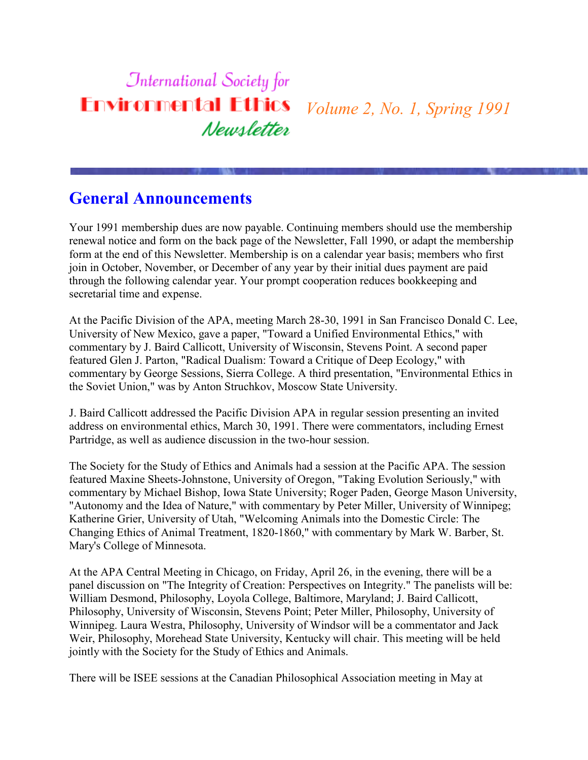#### **International Society for Environmental Ethics** *Volume 2, No. 1, Spring 1991* Newsletter

### **General Announcements**

Your 1991 membership dues are now payable. Continuing members should use the membership renewal notice and form on the back page of the Newsletter, Fall 1990, or adapt the membership form at the end of this Newsletter. Membership is on a calendar year basis; members who first join in October, November, or December of any year by their initial dues payment are paid through the following calendar year. Your prompt cooperation reduces bookkeeping and secretarial time and expense.

At the Pacific Division of the APA, meeting March 28-30, 1991 in San Francisco Donald C. Lee, University of New Mexico, gave a paper, "Toward a Unified Environmental Ethics," with commentary by J. Baird Callicott, University of Wisconsin, Stevens Point. A second paper featured Glen J. Parton, "Radical Dualism: Toward a Critique of Deep Ecology," with commentary by George Sessions, Sierra College. A third presentation, "Environmental Ethics in the Soviet Union," was by Anton Struchkov, Moscow State University.

J. Baird Callicott addressed the Pacific Division APA in regular session presenting an invited address on environmental ethics, March 30, 1991. There were commentators, including Ernest Partridge, as well as audience discussion in the two-hour session.

The Society for the Study of Ethics and Animals had a session at the Pacific APA. The session featured Maxine Sheets-Johnstone, University of Oregon, "Taking Evolution Seriously," with commentary by Michael Bishop, Iowa State University; Roger Paden, George Mason University, "Autonomy and the Idea of Nature," with commentary by Peter Miller, University of Winnipeg; Katherine Grier, University of Utah, "Welcoming Animals into the Domestic Circle: The Changing Ethics of Animal Treatment, 1820-1860," with commentary by Mark W. Barber, St. Mary's College of Minnesota.

At the APA Central Meeting in Chicago, on Friday, April 26, in the evening, there will be a panel discussion on "The Integrity of Creation: Perspectives on Integrity." The panelists will be: William Desmond, Philosophy, Loyola College, Baltimore, Maryland; J. Baird Callicott, Philosophy, University of Wisconsin, Stevens Point; Peter Miller, Philosophy, University of Winnipeg. Laura Westra, Philosophy, University of Windsor will be a commentator and Jack Weir, Philosophy, Morehead State University, Kentucky will chair. This meeting will be held jointly with the Society for the Study of Ethics and Animals.

There will be ISEE sessions at the Canadian Philosophical Association meeting in May at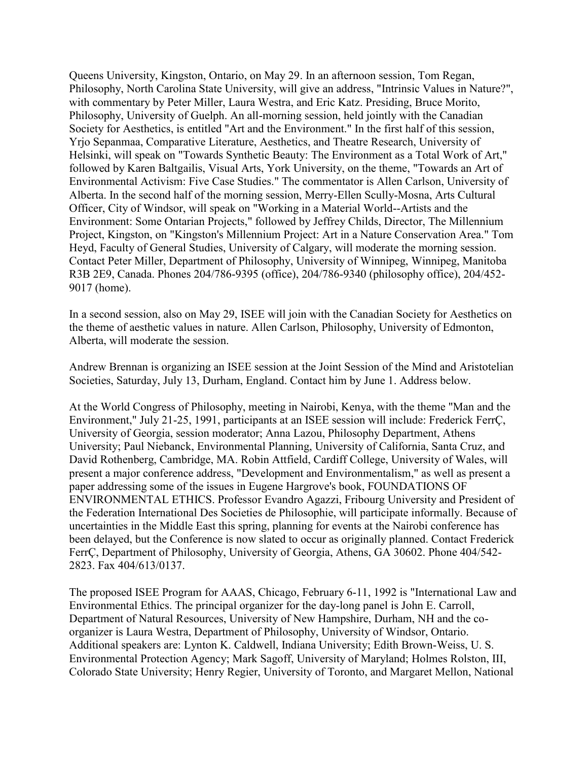Queens University, Kingston, Ontario, on May 29. In an afternoon session, Tom Regan, Philosophy, North Carolina State University, will give an address, "Intrinsic Values in Nature?", with commentary by Peter Miller, Laura Westra, and Eric Katz. Presiding, Bruce Morito, Philosophy, University of Guelph. An all-morning session, held jointly with the Canadian Society for Aesthetics, is entitled "Art and the Environment." In the first half of this session, Yrjo Sepanmaa, Comparative Literature, Aesthetics, and Theatre Research, University of Helsinki, will speak on "Towards Synthetic Beauty: The Environment as a Total Work of Art," followed by Karen Baltgailis, Visual Arts, York University, on the theme, "Towards an Art of Environmental Activism: Five Case Studies." The commentator is Allen Carlson, University of Alberta. In the second half of the morning session, Merry-Ellen Scully-Mosna, Arts Cultural Officer, City of Windsor, will speak on "Working in a Material World--Artists and the Environment: Some Ontarian Projects," followed by Jeffrey Childs, Director, The Millennium Project, Kingston, on "Kingston's Millennium Project: Art in a Nature Conservation Area." Tom Heyd, Faculty of General Studies, University of Calgary, will moderate the morning session. Contact Peter Miller, Department of Philosophy, University of Winnipeg, Winnipeg, Manitoba R3B 2E9, Canada. Phones 204/786-9395 (office), 204/786-9340 (philosophy office), 204/452- 9017 (home).

In a second session, also on May 29, ISEE will join with the Canadian Society for Aesthetics on the theme of aesthetic values in nature. Allen Carlson, Philosophy, University of Edmonton, Alberta, will moderate the session.

Andrew Brennan is organizing an ISEE session at the Joint Session of the Mind and Aristotelian Societies, Saturday, July 13, Durham, England. Contact him by June 1. Address below.

At the World Congress of Philosophy, meeting in Nairobi, Kenya, with the theme "Man and the Environment," July 21-25, 1991, participants at an ISEE session will include: Frederick FerrÇ, University of Georgia, session moderator; Anna Lazou, Philosophy Department, Athens University; Paul Niebanck, Environmental Planning, University of California, Santa Cruz, and David Rothenberg, Cambridge, MA. Robin Attfield, Cardiff College, University of Wales, will present a major conference address, "Development and Environmentalism," as well as present a paper addressing some of the issues in Eugene Hargrove's book, FOUNDATIONS OF ENVIRONMENTAL ETHICS. Professor Evandro Agazzi, Fribourg University and President of the Federation International Des Societies de Philosophie, will participate informally. Because of uncertainties in the Middle East this spring, planning for events at the Nairobi conference has been delayed, but the Conference is now slated to occur as originally planned. Contact Frederick FerrÇ, Department of Philosophy, University of Georgia, Athens, GA 30602. Phone 404/542- 2823. Fax 404/613/0137.

The proposed ISEE Program for AAAS, Chicago, February 6-11, 1992 is "International Law and Environmental Ethics. The principal organizer for the day-long panel is John E. Carroll, Department of Natural Resources, University of New Hampshire, Durham, NH and the coorganizer is Laura Westra, Department of Philosophy, University of Windsor, Ontario. Additional speakers are: Lynton K. Caldwell, Indiana University; Edith Brown-Weiss, U. S. Environmental Protection Agency; Mark Sagoff, University of Maryland; Holmes Rolston, III, Colorado State University; Henry Regier, University of Toronto, and Margaret Mellon, National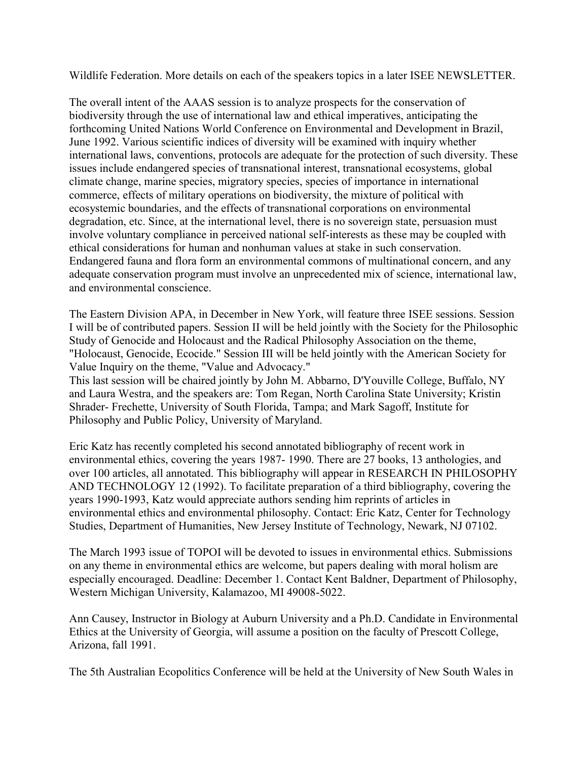Wildlife Federation. More details on each of the speakers topics in a later ISEE NEWSLETTER.

The overall intent of the AAAS session is to analyze prospects for the conservation of biodiversity through the use of international law and ethical imperatives, anticipating the forthcoming United Nations World Conference on Environmental and Development in Brazil, June 1992. Various scientific indices of diversity will be examined with inquiry whether international laws, conventions, protocols are adequate for the protection of such diversity. These issues include endangered species of transnational interest, transnational ecosystems, global climate change, marine species, migratory species, species of importance in international commerce, effects of military operations on biodiversity, the mixture of political with ecosystemic boundaries, and the effects of transnational corporations on environmental degradation, etc. Since, at the international level, there is no sovereign state, persuasion must involve voluntary compliance in perceived national self-interests as these may be coupled with ethical considerations for human and nonhuman values at stake in such conservation. Endangered fauna and flora form an environmental commons of multinational concern, and any adequate conservation program must involve an unprecedented mix of science, international law, and environmental conscience.

The Eastern Division APA, in December in New York, will feature three ISEE sessions. Session I will be of contributed papers. Session II will be held jointly with the Society for the Philosophic Study of Genocide and Holocaust and the Radical Philosophy Association on the theme, "Holocaust, Genocide, Ecocide." Session III will be held jointly with the American Society for Value Inquiry on the theme, "Value and Advocacy."

This last session will be chaired jointly by John M. Abbarno, D'Youville College, Buffalo, NY and Laura Westra, and the speakers are: Tom Regan, North Carolina State University; Kristin Shrader- Frechette, University of South Florida, Tampa; and Mark Sagoff, Institute for Philosophy and Public Policy, University of Maryland.

Eric Katz has recently completed his second annotated bibliography of recent work in environmental ethics, covering the years 1987- 1990. There are 27 books, 13 anthologies, and over 100 articles, all annotated. This bibliography will appear in RESEARCH IN PHILOSOPHY AND TECHNOLOGY 12 (1992). To facilitate preparation of a third bibliography, covering the years 1990-1993, Katz would appreciate authors sending him reprints of articles in environmental ethics and environmental philosophy. Contact: Eric Katz, Center for Technology Studies, Department of Humanities, New Jersey Institute of Technology, Newark, NJ 07102.

The March 1993 issue of TOPOI will be devoted to issues in environmental ethics. Submissions on any theme in environmental ethics are welcome, but papers dealing with moral holism are especially encouraged. Deadline: December 1. Contact Kent Baldner, Department of Philosophy, Western Michigan University, Kalamazoo, MI 49008-5022.

Ann Causey, Instructor in Biology at Auburn University and a Ph.D. Candidate in Environmental Ethics at the University of Georgia, will assume a position on the faculty of Prescott College, Arizona, fall 1991.

The 5th Australian Ecopolitics Conference will be held at the University of New South Wales in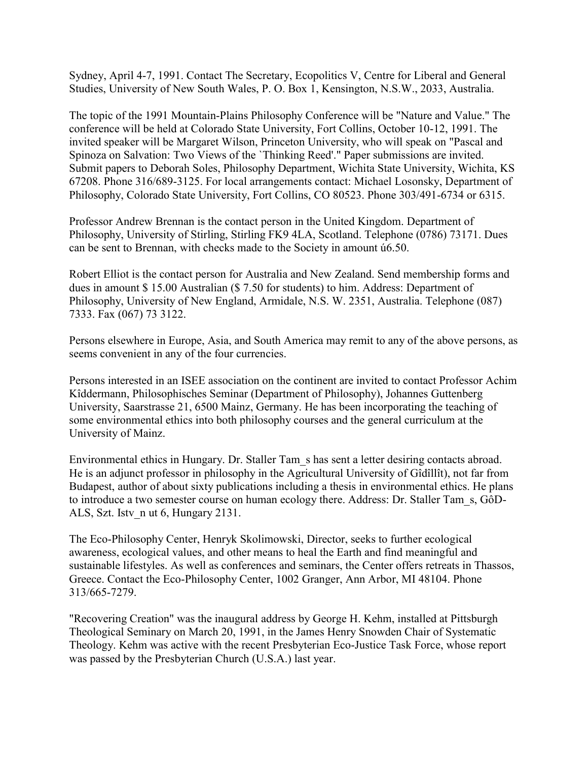Sydney, April 4-7, 1991. Contact The Secretary, Ecopolitics V, Centre for Liberal and General Studies, University of New South Wales, P. O. Box 1, Kensington, N.S.W., 2033, Australia.

The topic of the 1991 Mountain-Plains Philosophy Conference will be "Nature and Value." The conference will be held at Colorado State University, Fort Collins, October 10-12, 1991. The invited speaker will be Margaret Wilson, Princeton University, who will speak on "Pascal and Spinoza on Salvation: Two Views of the `Thinking Reed'." Paper submissions are invited. Submit papers to Deborah Soles, Philosophy Department, Wichita State University, Wichita, KS 67208. Phone 316/689-3125. For local arrangements contact: Michael Losonsky, Department of Philosophy, Colorado State University, Fort Collins, CO 80523. Phone 303/491-6734 or 6315.

Professor Andrew Brennan is the contact person in the United Kingdom. Department of Philosophy, University of Stirling, Stirling FK9 4LA, Scotland. Telephone (0786) 73171. Dues can be sent to Brennan, with checks made to the Society in amount ú6.50.

Robert Elliot is the contact person for Australia and New Zealand. Send membership forms and dues in amount \$ 15.00 Australian (\$ 7.50 for students) to him. Address: Department of Philosophy, University of New England, Armidale, N.S. W. 2351, Australia. Telephone (087) 7333. Fax (067) 73 3122.

Persons elsewhere in Europe, Asia, and South America may remit to any of the above persons, as seems convenient in any of the four currencies.

Persons interested in an ISEE association on the continent are invited to contact Professor Achim Kîddermann, Philosophisches Seminar (Department of Philosophy), Johannes Guttenberg University, Saarstrasse 21, 6500 Mainz, Germany. He has been incorporating the teaching of some environmental ethics into both philosophy courses and the general curriculum at the University of Mainz.

Environmental ethics in Hungary. Dr. Staller Tam\_s has sent a letter desiring contacts abroad. He is an adjunct professor in philosophy in the Agricultural University of Gîdîllît), not far from Budapest, author of about sixty publications including a thesis in environmental ethics. He plans to introduce a two semester course on human ecology there. Address: Dr. Staller Tam\_s, GôD-ALS, Szt. Istv\_n ut 6, Hungary 2131.

The Eco-Philosophy Center, Henryk Skolimowski, Director, seeks to further ecological awareness, ecological values, and other means to heal the Earth and find meaningful and sustainable lifestyles. As well as conferences and seminars, the Center offers retreats in Thassos, Greece. Contact the Eco-Philosophy Center, 1002 Granger, Ann Arbor, MI 48104. Phone 313/665-7279.

"Recovering Creation" was the inaugural address by George H. Kehm, installed at Pittsburgh Theological Seminary on March 20, 1991, in the James Henry Snowden Chair of Systematic Theology. Kehm was active with the recent Presbyterian Eco-Justice Task Force, whose report was passed by the Presbyterian Church (U.S.A.) last year.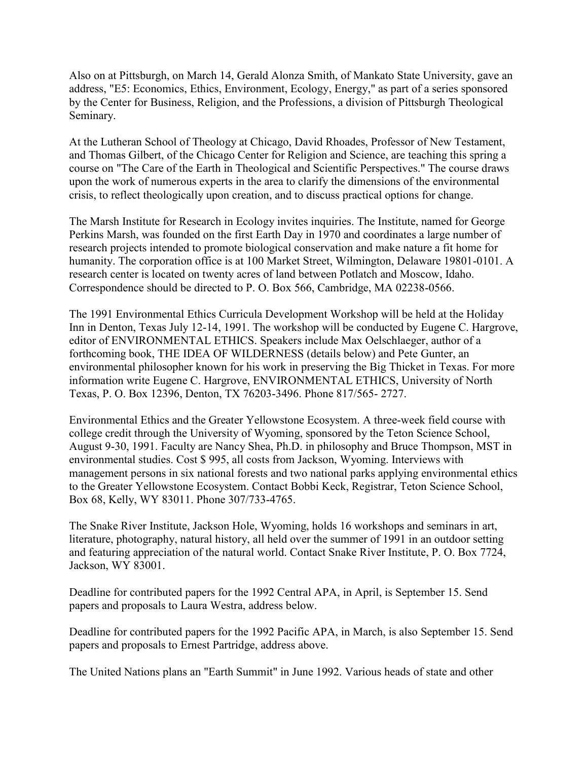Also on at Pittsburgh, on March 14, Gerald Alonza Smith, of Mankato State University, gave an address, "E5: Economics, Ethics, Environment, Ecology, Energy," as part of a series sponsored by the Center for Business, Religion, and the Professions, a division of Pittsburgh Theological Seminary.

At the Lutheran School of Theology at Chicago, David Rhoades, Professor of New Testament, and Thomas Gilbert, of the Chicago Center for Religion and Science, are teaching this spring a course on "The Care of the Earth in Theological and Scientific Perspectives." The course draws upon the work of numerous experts in the area to clarify the dimensions of the environmental crisis, to reflect theologically upon creation, and to discuss practical options for change.

The Marsh Institute for Research in Ecology invites inquiries. The Institute, named for George Perkins Marsh, was founded on the first Earth Day in 1970 and coordinates a large number of research projects intended to promote biological conservation and make nature a fit home for humanity. The corporation office is at 100 Market Street, Wilmington, Delaware 19801-0101. A research center is located on twenty acres of land between Potlatch and Moscow, Idaho. Correspondence should be directed to P. O. Box 566, Cambridge, MA 02238-0566.

The 1991 Environmental Ethics Curricula Development Workshop will be held at the Holiday Inn in Denton, Texas July 12-14, 1991. The workshop will be conducted by Eugene C. Hargrove, editor of ENVIRONMENTAL ETHICS. Speakers include Max Oelschlaeger, author of a forthcoming book, THE IDEA OF WILDERNESS (details below) and Pete Gunter, an environmental philosopher known for his work in preserving the Big Thicket in Texas. For more information write Eugene C. Hargrove, ENVIRONMENTAL ETHICS, University of North Texas, P. O. Box 12396, Denton, TX 76203-3496. Phone 817/565- 2727.

Environmental Ethics and the Greater Yellowstone Ecosystem. A three-week field course with college credit through the University of Wyoming, sponsored by the Teton Science School, August 9-30, 1991. Faculty are Nancy Shea, Ph.D. in philosophy and Bruce Thompson, MST in environmental studies. Cost \$ 995, all costs from Jackson, Wyoming. Interviews with management persons in six national forests and two national parks applying environmental ethics to the Greater Yellowstone Ecosystem. Contact Bobbi Keck, Registrar, Teton Science School, Box 68, Kelly, WY 83011. Phone 307/733-4765.

The Snake River Institute, Jackson Hole, Wyoming, holds 16 workshops and seminars in art, literature, photography, natural history, all held over the summer of 1991 in an outdoor setting and featuring appreciation of the natural world. Contact Snake River Institute, P. O. Box 7724, Jackson, WY 83001.

Deadline for contributed papers for the 1992 Central APA, in April, is September 15. Send papers and proposals to Laura Westra, address below.

Deadline for contributed papers for the 1992 Pacific APA, in March, is also September 15. Send papers and proposals to Ernest Partridge, address above.

The United Nations plans an "Earth Summit" in June 1992. Various heads of state and other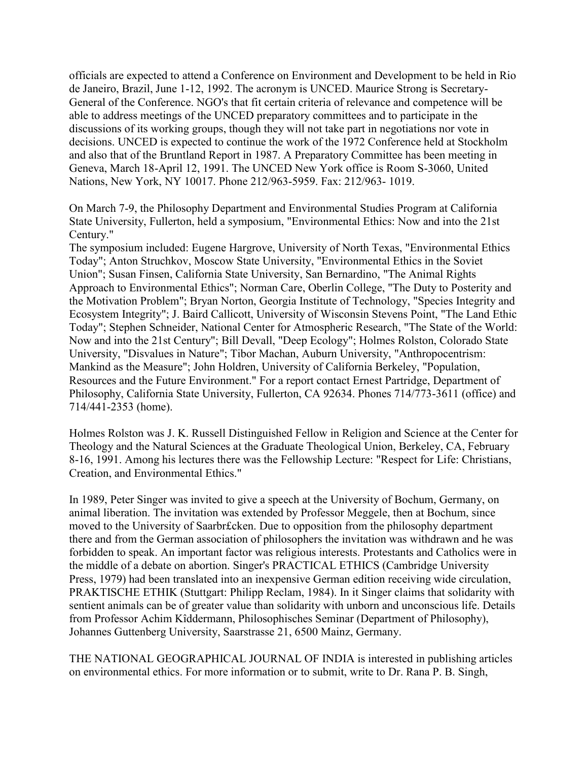officials are expected to attend a Conference on Environment and Development to be held in Rio de Janeiro, Brazil, June 1-12, 1992. The acronym is UNCED. Maurice Strong is Secretary-General of the Conference. NGO's that fit certain criteria of relevance and competence will be able to address meetings of the UNCED preparatory committees and to participate in the discussions of its working groups, though they will not take part in negotiations nor vote in decisions. UNCED is expected to continue the work of the 1972 Conference held at Stockholm and also that of the Bruntland Report in 1987. A Preparatory Committee has been meeting in Geneva, March 18-April 12, 1991. The UNCED New York office is Room S-3060, United Nations, New York, NY 10017. Phone 212/963-5959. Fax: 212/963- 1019.

On March 7-9, the Philosophy Department and Environmental Studies Program at California State University, Fullerton, held a symposium, "Environmental Ethics: Now and into the 21st Century."

The symposium included: Eugene Hargrove, University of North Texas, "Environmental Ethics Today"; Anton Struchkov, Moscow State University, "Environmental Ethics in the Soviet Union"; Susan Finsen, California State University, San Bernardino, "The Animal Rights Approach to Environmental Ethics"; Norman Care, Oberlin College, "The Duty to Posterity and the Motivation Problem"; Bryan Norton, Georgia Institute of Technology, "Species Integrity and Ecosystem Integrity"; J. Baird Callicott, University of Wisconsin Stevens Point, "The Land Ethic Today"; Stephen Schneider, National Center for Atmospheric Research, "The State of the World: Now and into the 21st Century"; Bill Devall, "Deep Ecology"; Holmes Rolston, Colorado State University, "Disvalues in Nature"; Tibor Machan, Auburn University, "Anthropocentrism: Mankind as the Measure"; John Holdren, University of California Berkeley, "Population, Resources and the Future Environment." For a report contact Ernest Partridge, Department of Philosophy, California State University, Fullerton, CA 92634. Phones 714/773-3611 (office) and 714/441-2353 (home).

Holmes Rolston was J. K. Russell Distinguished Fellow in Religion and Science at the Center for Theology and the Natural Sciences at the Graduate Theological Union, Berkeley, CA, February 8-16, 1991. Among his lectures there was the Fellowship Lecture: "Respect for Life: Christians, Creation, and Environmental Ethics."

In 1989, Peter Singer was invited to give a speech at the University of Bochum, Germany, on animal liberation. The invitation was extended by Professor Meggele, then at Bochum, since moved to the University of Saarbr£cken. Due to opposition from the philosophy department there and from the German association of philosophers the invitation was withdrawn and he was forbidden to speak. An important factor was religious interests. Protestants and Catholics were in the middle of a debate on abortion. Singer's PRACTICAL ETHICS (Cambridge University Press, 1979) had been translated into an inexpensive German edition receiving wide circulation, PRAKTISCHE ETHIK (Stuttgart: Philipp Reclam, 1984). In it Singer claims that solidarity with sentient animals can be of greater value than solidarity with unborn and unconscious life. Details from Professor Achim Kîddermann, Philosophisches Seminar (Department of Philosophy), Johannes Guttenberg University, Saarstrasse 21, 6500 Mainz, Germany.

THE NATIONAL GEOGRAPHICAL JOURNAL OF INDIA is interested in publishing articles on environmental ethics. For more information or to submit, write to Dr. Rana P. B. Singh,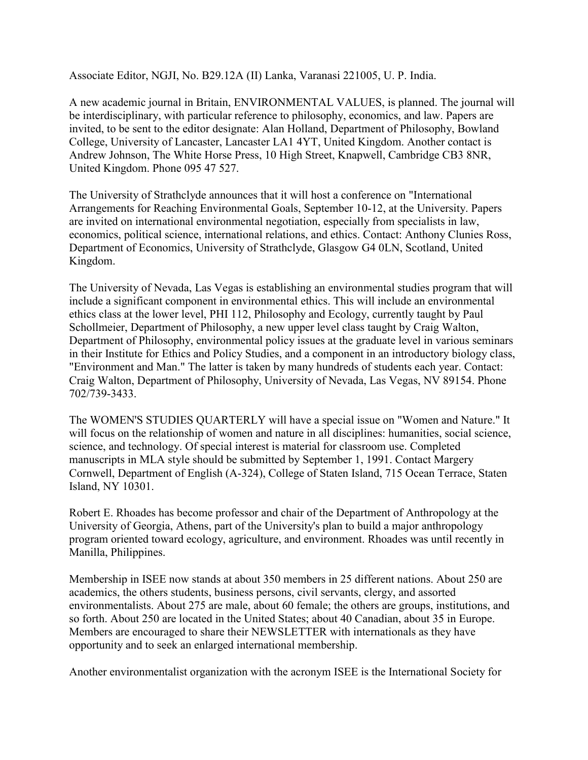Associate Editor, NGJI, No. B29.12A (II) Lanka, Varanasi 221005, U. P. India.

A new academic journal in Britain, ENVIRONMENTAL VALUES, is planned. The journal will be interdisciplinary, with particular reference to philosophy, economics, and law. Papers are invited, to be sent to the editor designate: Alan Holland, Department of Philosophy, Bowland College, University of Lancaster, Lancaster LA1 4YT, United Kingdom. Another contact is Andrew Johnson, The White Horse Press, 10 High Street, Knapwell, Cambridge CB3 8NR, United Kingdom. Phone 095 47 527.

The University of Strathclyde announces that it will host a conference on "International Arrangements for Reaching Environmental Goals, September 10-12, at the University. Papers are invited on international environmental negotiation, especially from specialists in law, economics, political science, international relations, and ethics. Contact: Anthony Clunies Ross, Department of Economics, University of Strathclyde, Glasgow G4 0LN, Scotland, United Kingdom.

The University of Nevada, Las Vegas is establishing an environmental studies program that will include a significant component in environmental ethics. This will include an environmental ethics class at the lower level, PHI 112, Philosophy and Ecology, currently taught by Paul Schollmeier, Department of Philosophy, a new upper level class taught by Craig Walton, Department of Philosophy, environmental policy issues at the graduate level in various seminars in their Institute for Ethics and Policy Studies, and a component in an introductory biology class, "Environment and Man." The latter is taken by many hundreds of students each year. Contact: Craig Walton, Department of Philosophy, University of Nevada, Las Vegas, NV 89154. Phone 702/739-3433.

The WOMEN'S STUDIES QUARTERLY will have a special issue on "Women and Nature." It will focus on the relationship of women and nature in all disciplines: humanities, social science, science, and technology. Of special interest is material for classroom use. Completed manuscripts in MLA style should be submitted by September 1, 1991. Contact Margery Cornwell, Department of English (A-324), College of Staten Island, 715 Ocean Terrace, Staten Island, NY 10301.

Robert E. Rhoades has become professor and chair of the Department of Anthropology at the University of Georgia, Athens, part of the University's plan to build a major anthropology program oriented toward ecology, agriculture, and environment. Rhoades was until recently in Manilla, Philippines.

Membership in ISEE now stands at about 350 members in 25 different nations. About 250 are academics, the others students, business persons, civil servants, clergy, and assorted environmentalists. About 275 are male, about 60 female; the others are groups, institutions, and so forth. About 250 are located in the United States; about 40 Canadian, about 35 in Europe. Members are encouraged to share their NEWSLETTER with internationals as they have opportunity and to seek an enlarged international membership.

Another environmentalist organization with the acronym ISEE is the International Society for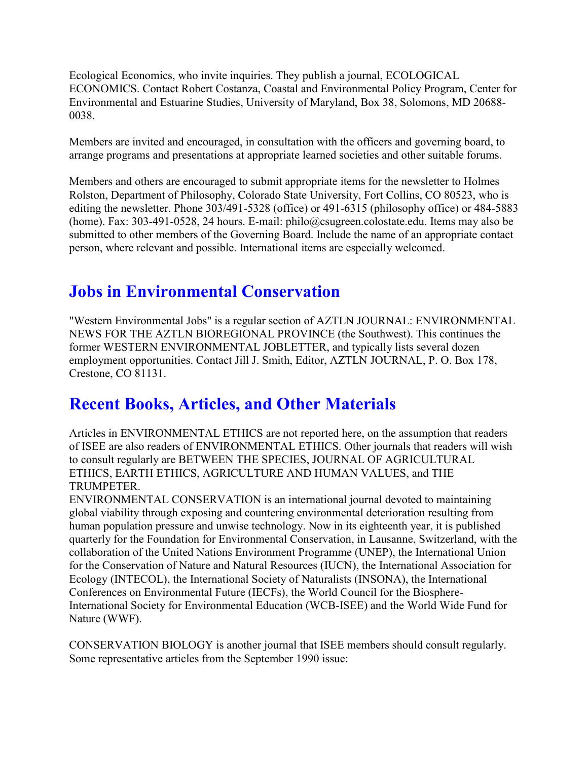Ecological Economics, who invite inquiries. They publish a journal, ECOLOGICAL ECONOMICS. Contact Robert Costanza, Coastal and Environmental Policy Program, Center for Environmental and Estuarine Studies, University of Maryland, Box 38, Solomons, MD 20688- 0038.

Members are invited and encouraged, in consultation with the officers and governing board, to arrange programs and presentations at appropriate learned societies and other suitable forums.

Members and others are encouraged to submit appropriate items for the newsletter to Holmes Rolston, Department of Philosophy, Colorado State University, Fort Collins, CO 80523, who is editing the newsletter. Phone 303/491-5328 (office) or 491-6315 (philosophy office) or 484-5883 (home). Fax: 303-491-0528, 24 hours. E-mail: philo@csugreen.colostate.edu. Items may also be submitted to other members of the Governing Board. Include the name of an appropriate contact person, where relevant and possible. International items are especially welcomed.

## **Jobs in Environmental Conservation**

"Western Environmental Jobs" is a regular section of AZTLN JOURNAL: ENVIRONMENTAL NEWS FOR THE AZTLN BIOREGIONAL PROVINCE (the Southwest). This continues the former WESTERN ENVIRONMENTAL JOBLETTER, and typically lists several dozen employment opportunities. Contact Jill J. Smith, Editor, AZTLN JOURNAL, P. O. Box 178, Crestone, CO 81131.

# **Recent Books, Articles, and Other Materials**

Articles in ENVIRONMENTAL ETHICS are not reported here, on the assumption that readers of ISEE are also readers of ENVIRONMENTAL ETHICS. Other journals that readers will wish to consult regularly are BETWEEN THE SPECIES, JOURNAL OF AGRICULTURAL ETHICS, EARTH ETHICS, AGRICULTURE AND HUMAN VALUES, and THE TRUMPETER.

ENVIRONMENTAL CONSERVATION is an international journal devoted to maintaining global viability through exposing and countering environmental deterioration resulting from human population pressure and unwise technology. Now in its eighteenth year, it is published quarterly for the Foundation for Environmental Conservation, in Lausanne, Switzerland, with the collaboration of the United Nations Environment Programme (UNEP), the International Union for the Conservation of Nature and Natural Resources (IUCN), the International Association for Ecology (INTECOL), the International Society of Naturalists (INSONA), the International Conferences on Environmental Future (IECFs), the World Council for the Biosphere-International Society for Environmental Education (WCB-ISEE) and the World Wide Fund for Nature (WWF).

CONSERVATION BIOLOGY is another journal that ISEE members should consult regularly. Some representative articles from the September 1990 issue: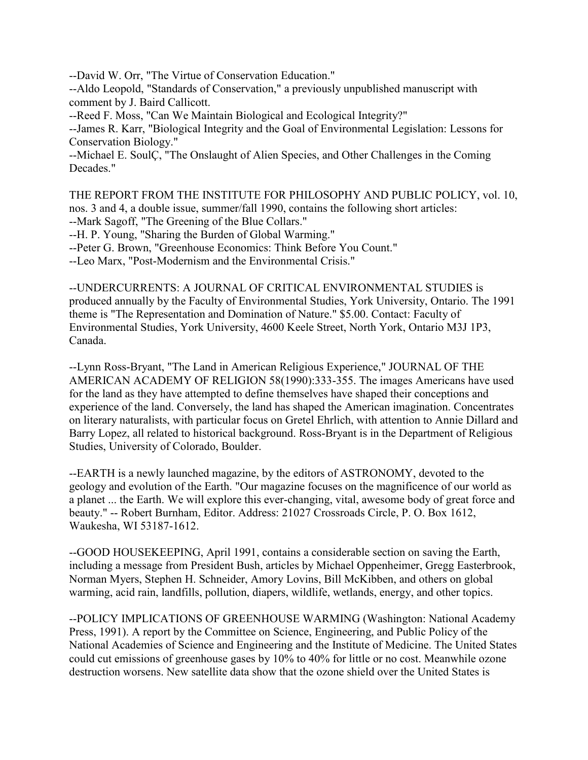--David W. Orr, "The Virtue of Conservation Education."

--Aldo Leopold, "Standards of Conservation," a previously unpublished manuscript with comment by J. Baird Callicott.

--Reed F. Moss, "Can We Maintain Biological and Ecological Integrity?"

--James R. Karr, "Biological Integrity and the Goal of Environmental Legislation: Lessons for Conservation Biology."

--Michael E. SoulÇ, "The Onslaught of Alien Species, and Other Challenges in the Coming Decades."

THE REPORT FROM THE INSTITUTE FOR PHILOSOPHY AND PUBLIC POLICY, vol. 10, nos. 3 and 4, a double issue, summer/fall 1990, contains the following short articles:

--Mark Sagoff, "The Greening of the Blue Collars."

--H. P. Young, "Sharing the Burden of Global Warming."

--Peter G. Brown, "Greenhouse Economics: Think Before You Count."

--Leo Marx, "Post-Modernism and the Environmental Crisis."

--UNDERCURRENTS: A JOURNAL OF CRITICAL ENVIRONMENTAL STUDIES is produced annually by the Faculty of Environmental Studies, York University, Ontario. The 1991 theme is "The Representation and Domination of Nature." \$5.00. Contact: Faculty of Environmental Studies, York University, 4600 Keele Street, North York, Ontario M3J 1P3, Canada.

--Lynn Ross-Bryant, "The Land in American Religious Experience," JOURNAL OF THE AMERICAN ACADEMY OF RELIGION 58(1990):333-355. The images Americans have used for the land as they have attempted to define themselves have shaped their conceptions and experience of the land. Conversely, the land has shaped the American imagination. Concentrates on literary naturalists, with particular focus on Gretel Ehrlich, with attention to Annie Dillard and Barry Lopez, all related to historical background. Ross-Bryant is in the Department of Religious Studies, University of Colorado, Boulder.

--EARTH is a newly launched magazine, by the editors of ASTRONOMY, devoted to the geology and evolution of the Earth. "Our magazine focuses on the magnificence of our world as a planet ... the Earth. We will explore this ever-changing, vital, awesome body of great force and beauty." -- Robert Burnham, Editor. Address: 21027 Crossroads Circle, P. O. Box 1612, Waukesha, WI 53187-1612.

--GOOD HOUSEKEEPING, April 1991, contains a considerable section on saving the Earth, including a message from President Bush, articles by Michael Oppenheimer, Gregg Easterbrook, Norman Myers, Stephen H. Schneider, Amory Lovins, Bill McKibben, and others on global warming, acid rain, landfills, pollution, diapers, wildlife, wetlands, energy, and other topics.

--POLICY IMPLICATIONS OF GREENHOUSE WARMING (Washington: National Academy Press, 1991). A report by the Committee on Science, Engineering, and Public Policy of the National Academies of Science and Engineering and the Institute of Medicine. The United States could cut emissions of greenhouse gases by 10% to 40% for little or no cost. Meanwhile ozone destruction worsens. New satellite data show that the ozone shield over the United States is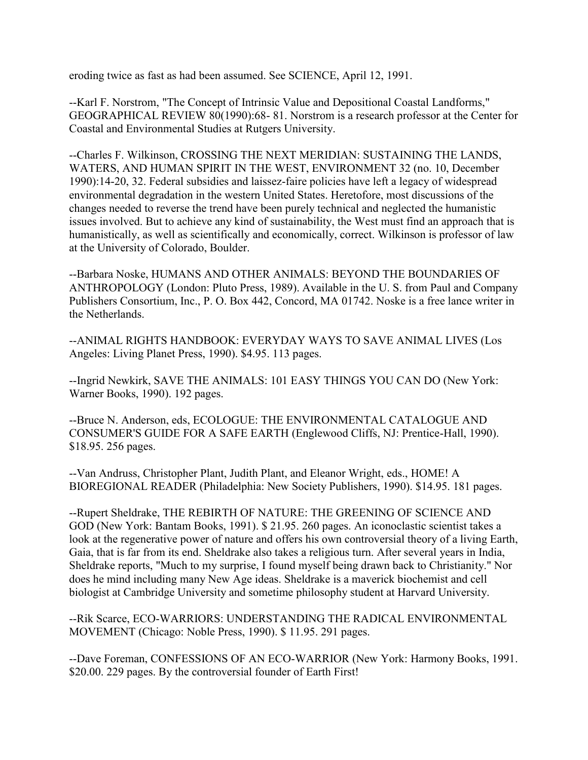eroding twice as fast as had been assumed. See SCIENCE, April 12, 1991.

--Karl F. Norstrom, "The Concept of Intrinsic Value and Depositional Coastal Landforms," GEOGRAPHICAL REVIEW 80(1990):68- 81. Norstrom is a research professor at the Center for Coastal and Environmental Studies at Rutgers University.

--Charles F. Wilkinson, CROSSING THE NEXT MERIDIAN: SUSTAINING THE LANDS, WATERS, AND HUMAN SPIRIT IN THE WEST, ENVIRONMENT 32 (no. 10, December 1990):14-20, 32. Federal subsidies and laissez-faire policies have left a legacy of widespread environmental degradation in the western United States. Heretofore, most discussions of the changes needed to reverse the trend have been purely technical and neglected the humanistic issues involved. But to achieve any kind of sustainability, the West must find an approach that is humanistically, as well as scientifically and economically, correct. Wilkinson is professor of law at the University of Colorado, Boulder.

--Barbara Noske, HUMANS AND OTHER ANIMALS: BEYOND THE BOUNDARIES OF ANTHROPOLOGY (London: Pluto Press, 1989). Available in the U. S. from Paul and Company Publishers Consortium, Inc., P. O. Box 442, Concord, MA 01742. Noske is a free lance writer in the Netherlands.

--ANIMAL RIGHTS HANDBOOK: EVERYDAY WAYS TO SAVE ANIMAL LIVES (Los Angeles: Living Planet Press, 1990). \$4.95. 113 pages.

--Ingrid Newkirk, SAVE THE ANIMALS: 101 EASY THINGS YOU CAN DO (New York: Warner Books, 1990). 192 pages.

--Bruce N. Anderson, eds, ECOLOGUE: THE ENVIRONMENTAL CATALOGUE AND CONSUMER'S GUIDE FOR A SAFE EARTH (Englewood Cliffs, NJ: Prentice-Hall, 1990). \$18.95. 256 pages.

--Van Andruss, Christopher Plant, Judith Plant, and Eleanor Wright, eds., HOME! A BIOREGIONAL READER (Philadelphia: New Society Publishers, 1990). \$14.95. 181 pages.

--Rupert Sheldrake, THE REBIRTH OF NATURE: THE GREENING OF SCIENCE AND GOD (New York: Bantam Books, 1991). \$ 21.95. 260 pages. An iconoclastic scientist takes a look at the regenerative power of nature and offers his own controversial theory of a living Earth, Gaia, that is far from its end. Sheldrake also takes a religious turn. After several years in India, Sheldrake reports, "Much to my surprise, I found myself being drawn back to Christianity." Nor does he mind including many New Age ideas. Sheldrake is a maverick biochemist and cell biologist at Cambridge University and sometime philosophy student at Harvard University.

--Rik Scarce, ECO-WARRIORS: UNDERSTANDING THE RADICAL ENVIRONMENTAL MOVEMENT (Chicago: Noble Press, 1990). \$ 11.95. 291 pages.

--Dave Foreman, CONFESSIONS OF AN ECO-WARRIOR (New York: Harmony Books, 1991. \$20.00. 229 pages. By the controversial founder of Earth First!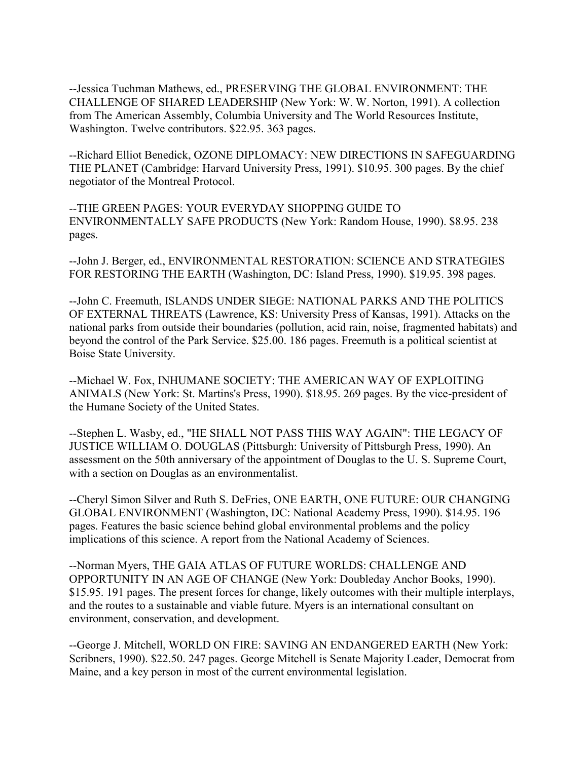--Jessica Tuchman Mathews, ed., PRESERVING THE GLOBAL ENVIRONMENT: THE CHALLENGE OF SHARED LEADERSHIP (New York: W. W. Norton, 1991). A collection from The American Assembly, Columbia University and The World Resources Institute, Washington. Twelve contributors. \$22.95. 363 pages.

--Richard Elliot Benedick, OZONE DIPLOMACY: NEW DIRECTIONS IN SAFEGUARDING THE PLANET (Cambridge: Harvard University Press, 1991). \$10.95. 300 pages. By the chief negotiator of the Montreal Protocol.

--THE GREEN PAGES: YOUR EVERYDAY SHOPPING GUIDE TO ENVIRONMENTALLY SAFE PRODUCTS (New York: Random House, 1990). \$8.95. 238 pages.

--John J. Berger, ed., ENVIRONMENTAL RESTORATION: SCIENCE AND STRATEGIES FOR RESTORING THE EARTH (Washington, DC: Island Press, 1990). \$19.95. 398 pages.

--John C. Freemuth, ISLANDS UNDER SIEGE: NATIONAL PARKS AND THE POLITICS OF EXTERNAL THREATS (Lawrence, KS: University Press of Kansas, 1991). Attacks on the national parks from outside their boundaries (pollution, acid rain, noise, fragmented habitats) and beyond the control of the Park Service. \$25.00. 186 pages. Freemuth is a political scientist at Boise State University.

--Michael W. Fox, INHUMANE SOCIETY: THE AMERICAN WAY OF EXPLOITING ANIMALS (New York: St. Martins's Press, 1990). \$18.95. 269 pages. By the vice-president of the Humane Society of the United States.

--Stephen L. Wasby, ed., "HE SHALL NOT PASS THIS WAY AGAIN": THE LEGACY OF JUSTICE WILLIAM O. DOUGLAS (Pittsburgh: University of Pittsburgh Press, 1990). An assessment on the 50th anniversary of the appointment of Douglas to the U. S. Supreme Court, with a section on Douglas as an environmentalist.

--Cheryl Simon Silver and Ruth S. DeFries, ONE EARTH, ONE FUTURE: OUR CHANGING GLOBAL ENVIRONMENT (Washington, DC: National Academy Press, 1990). \$14.95. 196 pages. Features the basic science behind global environmental problems and the policy implications of this science. A report from the National Academy of Sciences.

--Norman Myers, THE GAIA ATLAS OF FUTURE WORLDS: CHALLENGE AND OPPORTUNITY IN AN AGE OF CHANGE (New York: Doubleday Anchor Books, 1990). \$15.95. 191 pages. The present forces for change, likely outcomes with their multiple interplays, and the routes to a sustainable and viable future. Myers is an international consultant on environment, conservation, and development.

--George J. Mitchell, WORLD ON FIRE: SAVING AN ENDANGERED EARTH (New York: Scribners, 1990). \$22.50. 247 pages. George Mitchell is Senate Majority Leader, Democrat from Maine, and a key person in most of the current environmental legislation.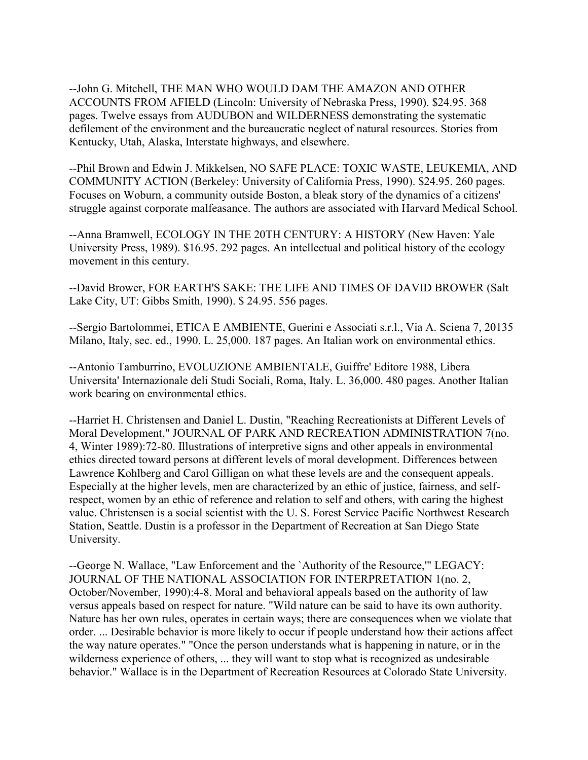--John G. Mitchell, THE MAN WHO WOULD DAM THE AMAZON AND OTHER ACCOUNTS FROM AFIELD (Lincoln: University of Nebraska Press, 1990). \$24.95. 368 pages. Twelve essays from AUDUBON and WILDERNESS demonstrating the systematic defilement of the environment and the bureaucratic neglect of natural resources. Stories from Kentucky, Utah, Alaska, Interstate highways, and elsewhere.

--Phil Brown and Edwin J. Mikkelsen, NO SAFE PLACE: TOXIC WASTE, LEUKEMIA, AND COMMUNITY ACTION (Berkeley: University of California Press, 1990). \$24.95. 260 pages. Focuses on Woburn, a community outside Boston, a bleak story of the dynamics of a citizens' struggle against corporate malfeasance. The authors are associated with Harvard Medical School.

--Anna Bramwell, ECOLOGY IN THE 20TH CENTURY: A HISTORY (New Haven: Yale University Press, 1989). \$16.95. 292 pages. An intellectual and political history of the ecology movement in this century.

--David Brower, FOR EARTH'S SAKE: THE LIFE AND TIMES OF DAVID BROWER (Salt Lake City, UT: Gibbs Smith, 1990). \$ 24.95. 556 pages.

--Sergio Bartolommei, ETICA E AMBIENTE, Guerini e Associati s.r.l., Via A. Sciena 7, 20135 Milano, Italy, sec. ed., 1990. L. 25,000. 187 pages. An Italian work on environmental ethics.

--Antonio Tamburrino, EVOLUZIONE AMBIENTALE, Guiffre' Editore 1988, Libera Universita' Internazionale deli Studi Sociali, Roma, Italy. L. 36,000. 480 pages. Another Italian work bearing on environmental ethics.

--Harriet H. Christensen and Daniel L. Dustin, "Reaching Recreationists at Different Levels of Moral Development," JOURNAL OF PARK AND RECREATION ADMINISTRATION 7(no. 4, Winter 1989):72-80. Illustrations of interpretive signs and other appeals in environmental ethics directed toward persons at different levels of moral development. Differences between Lawrence Kohlberg and Carol Gilligan on what these levels are and the consequent appeals. Especially at the higher levels, men are characterized by an ethic of justice, fairness, and selfrespect, women by an ethic of reference and relation to self and others, with caring the highest value. Christensen is a social scientist with the U. S. Forest Service Pacific Northwest Research Station, Seattle. Dustin is a professor in the Department of Recreation at San Diego State University.

--George N. Wallace, "Law Enforcement and the `Authority of the Resource,'" LEGACY: JOURNAL OF THE NATIONAL ASSOCIATION FOR INTERPRETATION 1(no. 2, October/November, 1990):4-8. Moral and behavioral appeals based on the authority of law versus appeals based on respect for nature. "Wild nature can be said to have its own authority. Nature has her own rules, operates in certain ways; there are consequences when we violate that order. ... Desirable behavior is more likely to occur if people understand how their actions affect the way nature operates." "Once the person understands what is happening in nature, or in the wilderness experience of others, ... they will want to stop what is recognized as undesirable behavior." Wallace is in the Department of Recreation Resources at Colorado State University.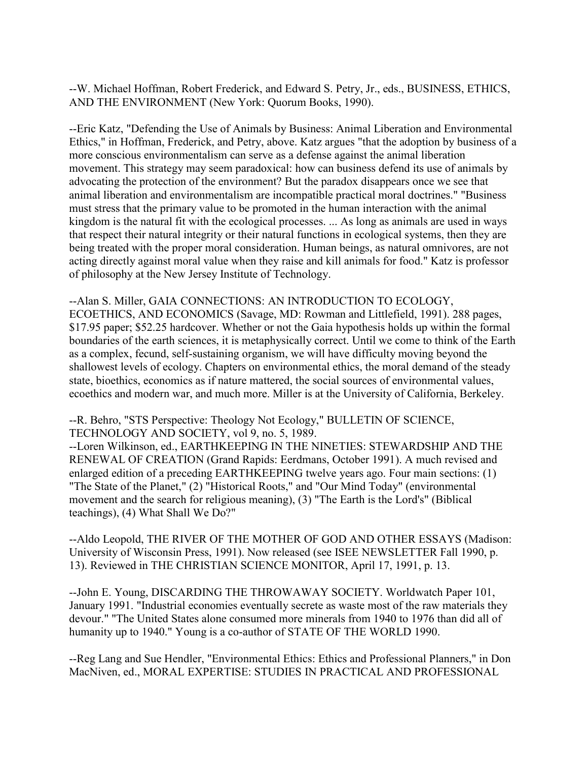--W. Michael Hoffman, Robert Frederick, and Edward S. Petry, Jr., eds., BUSINESS, ETHICS, AND THE ENVIRONMENT (New York: Quorum Books, 1990).

--Eric Katz, "Defending the Use of Animals by Business: Animal Liberation and Environmental Ethics," in Hoffman, Frederick, and Petry, above. Katz argues "that the adoption by business of a more conscious environmentalism can serve as a defense against the animal liberation movement. This strategy may seem paradoxical: how can business defend its use of animals by advocating the protection of the environment? But the paradox disappears once we see that animal liberation and environmentalism are incompatible practical moral doctrines." "Business must stress that the primary value to be promoted in the human interaction with the animal kingdom is the natural fit with the ecological processes. ... As long as animals are used in ways that respect their natural integrity or their natural functions in ecological systems, then they are being treated with the proper moral consideration. Human beings, as natural omnivores, are not acting directly against moral value when they raise and kill animals for food." Katz is professor of philosophy at the New Jersey Institute of Technology.

--Alan S. Miller, GAIA CONNECTIONS: AN INTRODUCTION TO ECOLOGY, ECOETHICS, AND ECONOMICS (Savage, MD: Rowman and Littlefield, 1991). 288 pages, \$17.95 paper; \$52.25 hardcover. Whether or not the Gaia hypothesis holds up within the formal boundaries of the earth sciences, it is metaphysically correct. Until we come to think of the Earth as a complex, fecund, self-sustaining organism, we will have difficulty moving beyond the shallowest levels of ecology. Chapters on environmental ethics, the moral demand of the steady state, bioethics, economics as if nature mattered, the social sources of environmental values, ecoethics and modern war, and much more. Miller is at the University of California, Berkeley.

--R. Behro, "STS Perspective: Theology Not Ecology," BULLETIN OF SCIENCE, TECHNOLOGY AND SOCIETY, vol 9, no. 5, 1989.

--Loren Wilkinson, ed., EARTHKEEPING IN THE NINETIES: STEWARDSHIP AND THE RENEWAL OF CREATION (Grand Rapids: Eerdmans, October 1991). A much revised and enlarged edition of a preceding EARTHKEEPING twelve years ago. Four main sections: (1) "The State of the Planet," (2) "Historical Roots," and "Our Mind Today" (environmental movement and the search for religious meaning), (3) "The Earth is the Lord's" (Biblical teachings), (4) What Shall We Do?"

--Aldo Leopold, THE RIVER OF THE MOTHER OF GOD AND OTHER ESSAYS (Madison: University of Wisconsin Press, 1991). Now released (see ISEE NEWSLETTER Fall 1990, p. 13). Reviewed in THE CHRISTIAN SCIENCE MONITOR, April 17, 1991, p. 13.

--John E. Young, DISCARDING THE THROWAWAY SOCIETY. Worldwatch Paper 101, January 1991. "Industrial economies eventually secrete as waste most of the raw materials they devour." "The United States alone consumed more minerals from 1940 to 1976 than did all of humanity up to 1940." Young is a co-author of STATE OF THE WORLD 1990.

--Reg Lang and Sue Hendler, "Environmental Ethics: Ethics and Professional Planners," in Don MacNiven, ed., MORAL EXPERTISE: STUDIES IN PRACTICAL AND PROFESSIONAL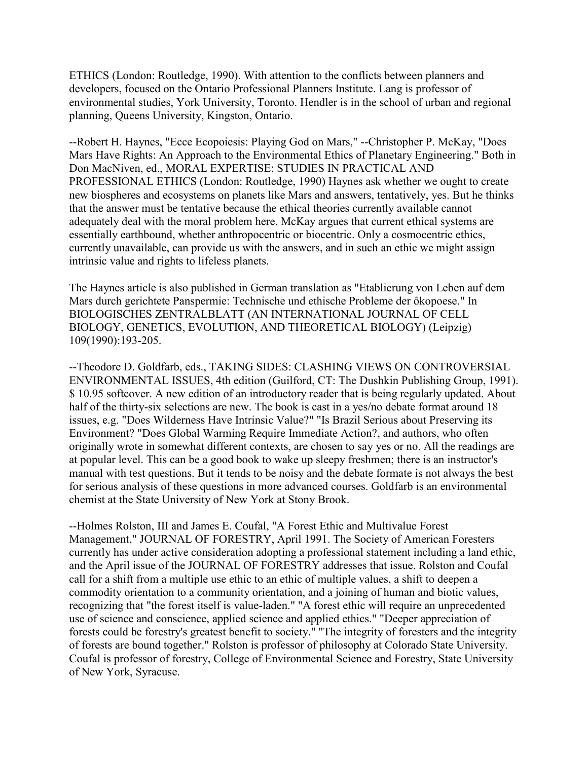ETHICS (London: Routledge, 1990). With attention to the conflicts between planners and developers, focused on the Ontario Professional Planners Institute. Lang is professor of environmental studies, York University, Toronto. Hendler is in the school of urban and regional planning, Queens University, Kingston, Ontario.

--Robert H. Haynes, "Ecce Ecopoiesis: Playing God on Mars," --Christopher P. McKay, "Does Mars Have Rights: An Approach to the Environmental Ethics of Planetary Engineering." Both in Don MacNiven, ed., MORAL EXPERTISE: STUDIES IN PRACTICAL AND PROFESSIONAL ETHICS (London: Routledge, 1990) Haynes ask whether we ought to create new biospheres and ecosystems on planets like Mars and answers, tentatively, yes. But he thinks that the answer must be tentative because the ethical theories currently available cannot adequately deal with the moral problem here. McKay argues that current ethical systems are essentially earthbound, whether anthropocentric or biocentric. Only a cosmocentric ethics, currently unavailable, can provide us with the answers, and in such an ethic we might assign intrinsic value and rights to lifeless planets.

The Haynes article is also published in German translation as "Etablierung von Leben auf dem Mars durch gerichtete Panspermie: Technische und ethische Probleme der ôkopoese." In BIOLOGISCHES ZENTRALBLATT (AN INTERNATIONAL JOURNAL OF CELL BIOLOGY, GENETICS, EVOLUTION, AND THEORETICAL BIOLOGY) (Leipzig) 109(1990):193-205.

--Theodore D. Goldfarb, eds., TAKING SIDES: CLASHING VIEWS ON CONTROVERSIAL ENVIRONMENTAL ISSUES, 4th edition (Guilford, CT: The Dushkin Publishing Group, 1991). \$10.95 softcover. A new edition of an introductory reader that is being regularly updated. About half of the thirty-six selections are new. The book is cast in a yes/no debate format around 18 issues, e.g. "Does Wilderness Have Intrinsic Value?" "Is Brazil Serious about Preserving its Environment? "Does Global Warming Require Immediate Action?, and authors, who often originally wrote in somewhat different contexts, are chosen to say yes or no. All the readings are at popular level. This can be a good book to wake up sleepy freshmen; there is an instructor's manual with test questions. But it tends to be noisy and the debate formate is not always the best for serious analysis of these questions in more advanced courses. Goldfarb is an environmental chemist at the State University of New York at Stony Brook.

--Holmes Rolston, III and James E. Coufal, "A Forest Ethic and Multivalue Forest Management," JOURNAL OF FORESTRY, April 1991. The Society of American Foresters currently has under active consideration adopting a professional statement including a land ethic, and the April issue of the JOURNAL OF FORESTRY addresses that issue. Rolston and Coufal call for a shift from a multiple use ethic to an ethic of multiple values, a shift to deepen a commodity orientation to a community orientation, and a joining of human and biotic values, recognizing that "the forest itself is value-laden." "A forest ethic will require an unprecedented use of science and conscience, applied science and applied ethics." "Deeper appreciation of forests could be forestry's greatest benefit to society." "The integrity of foresters and the integrity of forests are bound together." Rolston is professor of philosophy at Colorado State University. Coufal is professor of forestry, College of Environmental Science and Forestry, State University of New York, Syracuse.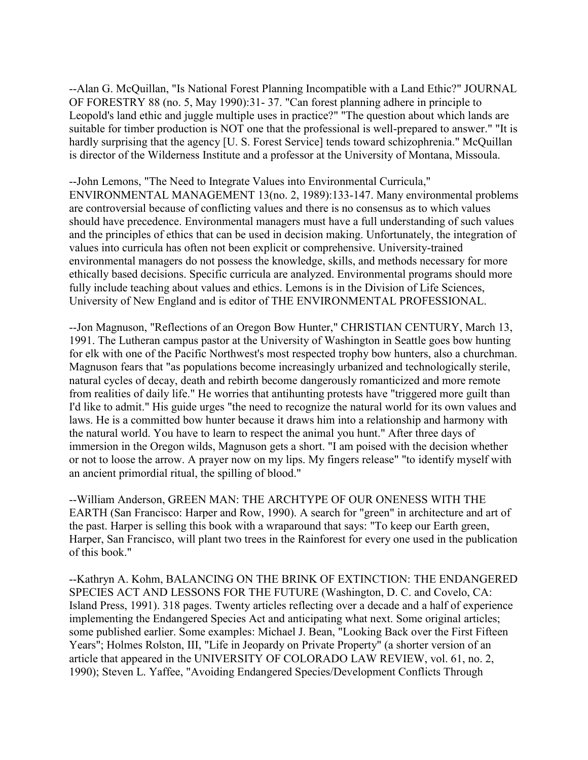--Alan G. McQuillan, "Is National Forest Planning Incompatible with a Land Ethic?" JOURNAL OF FORESTRY 88 (no. 5, May 1990):31- 37. "Can forest planning adhere in principle to Leopold's land ethic and juggle multiple uses in practice?" "The question about which lands are suitable for timber production is NOT one that the professional is well-prepared to answer." "It is hardly surprising that the agency [U. S. Forest Service] tends toward schizophrenia." McQuillan is director of the Wilderness Institute and a professor at the University of Montana, Missoula.

--John Lemons, "The Need to Integrate Values into Environmental Curricula," ENVIRONMENTAL MANAGEMENT 13(no. 2, 1989):133-147. Many environmental problems are controversial because of conflicting values and there is no consensus as to which values should have precedence. Environmental managers must have a full understanding of such values and the principles of ethics that can be used in decision making. Unfortunately, the integration of values into curricula has often not been explicit or comprehensive. University-trained environmental managers do not possess the knowledge, skills, and methods necessary for more ethically based decisions. Specific curricula are analyzed. Environmental programs should more fully include teaching about values and ethics. Lemons is in the Division of Life Sciences, University of New England and is editor of THE ENVIRONMENTAL PROFESSIONAL.

--Jon Magnuson, "Reflections of an Oregon Bow Hunter," CHRISTIAN CENTURY, March 13, 1991. The Lutheran campus pastor at the University of Washington in Seattle goes bow hunting for elk with one of the Pacific Northwest's most respected trophy bow hunters, also a churchman. Magnuson fears that "as populations become increasingly urbanized and technologically sterile, natural cycles of decay, death and rebirth become dangerously romanticized and more remote from realities of daily life." He worries that antihunting protests have "triggered more guilt than I'd like to admit." His guide urges "the need to recognize the natural world for its own values and laws. He is a committed bow hunter because it draws him into a relationship and harmony with the natural world. You have to learn to respect the animal you hunt." After three days of immersion in the Oregon wilds, Magnuson gets a short. "I am poised with the decision whether or not to loose the arrow. A prayer now on my lips. My fingers release" "to identify myself with an ancient primordial ritual, the spilling of blood."

--William Anderson, GREEN MAN: THE ARCHTYPE OF OUR ONENESS WITH THE EARTH (San Francisco: Harper and Row, 1990). A search for "green" in architecture and art of the past. Harper is selling this book with a wraparound that says: "To keep our Earth green, Harper, San Francisco, will plant two trees in the Rainforest for every one used in the publication of this book."

--Kathryn A. Kohm, BALANCING ON THE BRINK OF EXTINCTION: THE ENDANGERED SPECIES ACT AND LESSONS FOR THE FUTURE (Washington, D. C. and Covelo, CA: Island Press, 1991). 318 pages. Twenty articles reflecting over a decade and a half of experience implementing the Endangered Species Act and anticipating what next. Some original articles; some published earlier. Some examples: Michael J. Bean, "Looking Back over the First Fifteen Years"; Holmes Rolston, III, "Life in Jeopardy on Private Property" (a shorter version of an article that appeared in the UNIVERSITY OF COLORADO LAW REVIEW, vol. 61, no. 2, 1990); Steven L. Yaffee, "Avoiding Endangered Species/Development Conflicts Through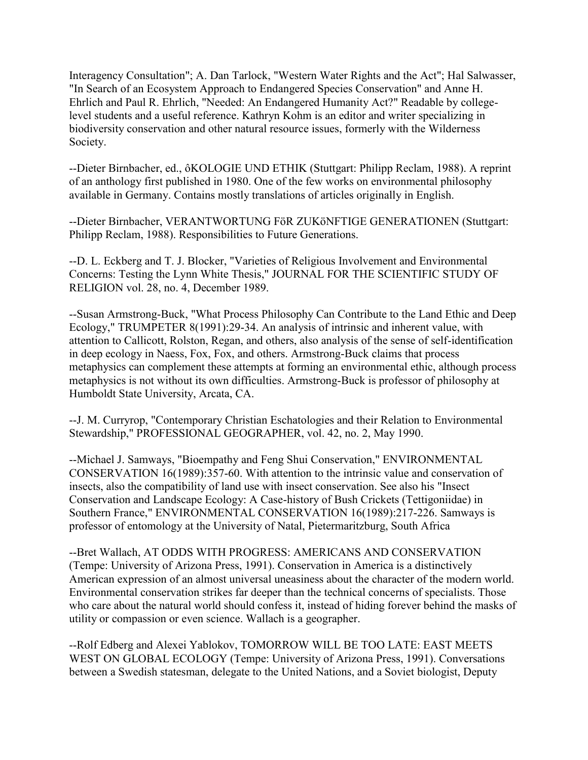Interagency Consultation"; A. Dan Tarlock, "Western Water Rights and the Act"; Hal Salwasser, "In Search of an Ecosystem Approach to Endangered Species Conservation" and Anne H. Ehrlich and Paul R. Ehrlich, "Needed: An Endangered Humanity Act?" Readable by collegelevel students and a useful reference. Kathryn Kohm is an editor and writer specializing in biodiversity conservation and other natural resource issues, formerly with the Wilderness Society.

--Dieter Birnbacher, ed., ôKOLOGIE UND ETHIK (Stuttgart: Philipp Reclam, 1988). A reprint of an anthology first published in 1980. One of the few works on environmental philosophy available in Germany. Contains mostly translations of articles originally in English.

--Dieter Birnbacher, VERANTWORTUNG FöR ZUKöNFTIGE GENERATIONEN (Stuttgart: Philipp Reclam, 1988). Responsibilities to Future Generations.

--D. L. Eckberg and T. J. Blocker, "Varieties of Religious Involvement and Environmental Concerns: Testing the Lynn White Thesis," JOURNAL FOR THE SCIENTIFIC STUDY OF RELIGION vol. 28, no. 4, December 1989.

--Susan Armstrong-Buck, "What Process Philosophy Can Contribute to the Land Ethic and Deep Ecology," TRUMPETER 8(1991):29-34. An analysis of intrinsic and inherent value, with attention to Callicott, Rolston, Regan, and others, also analysis of the sense of self-identification in deep ecology in Naess, Fox, Fox, and others. Armstrong-Buck claims that process metaphysics can complement these attempts at forming an environmental ethic, although process metaphysics is not without its own difficulties. Armstrong-Buck is professor of philosophy at Humboldt State University, Arcata, CA.

--J. M. Curryrop, "Contemporary Christian Eschatologies and their Relation to Environmental Stewardship," PROFESSIONAL GEOGRAPHER, vol. 42, no. 2, May 1990.

--Michael J. Samways, "Bioempathy and Feng Shui Conservation," ENVIRONMENTAL CONSERVATION 16(1989):357-60. With attention to the intrinsic value and conservation of insects, also the compatibility of land use with insect conservation. See also his "Insect Conservation and Landscape Ecology: A Case-history of Bush Crickets (Tettigoniidae) in Southern France," ENVIRONMENTAL CONSERVATION 16(1989):217-226. Samways is professor of entomology at the University of Natal, Pietermaritzburg, South Africa

--Bret Wallach, AT ODDS WITH PROGRESS: AMERICANS AND CONSERVATION (Tempe: University of Arizona Press, 1991). Conservation in America is a distinctively American expression of an almost universal uneasiness about the character of the modern world. Environmental conservation strikes far deeper than the technical concerns of specialists. Those who care about the natural world should confess it, instead of hiding forever behind the masks of utility or compassion or even science. Wallach is a geographer.

--Rolf Edberg and Alexei Yablokov, TOMORROW WILL BE TOO LATE: EAST MEETS WEST ON GLOBAL ECOLOGY (Tempe: University of Arizona Press, 1991). Conversations between a Swedish statesman, delegate to the United Nations, and a Soviet biologist, Deputy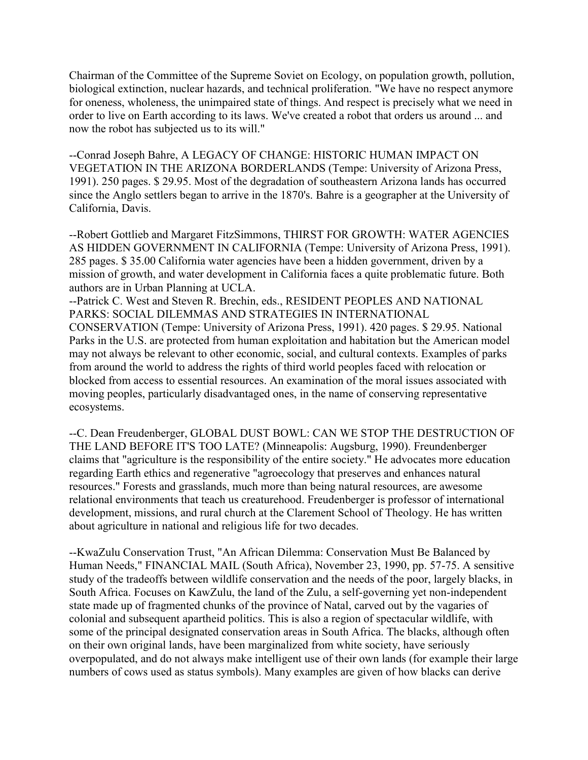Chairman of the Committee of the Supreme Soviet on Ecology, on population growth, pollution, biological extinction, nuclear hazards, and technical proliferation. "We have no respect anymore for oneness, wholeness, the unimpaired state of things. And respect is precisely what we need in order to live on Earth according to its laws. We've created a robot that orders us around ... and now the robot has subjected us to its will."

--Conrad Joseph Bahre, A LEGACY OF CHANGE: HISTORIC HUMAN IMPACT ON VEGETATION IN THE ARIZONA BORDERLANDS (Tempe: University of Arizona Press, 1991). 250 pages. \$ 29.95. Most of the degradation of southeastern Arizona lands has occurred since the Anglo settlers began to arrive in the 1870's. Bahre is a geographer at the University of California, Davis.

--Robert Gottlieb and Margaret FitzSimmons, THIRST FOR GROWTH: WATER AGENCIES AS HIDDEN GOVERNMENT IN CALIFORNIA (Tempe: University of Arizona Press, 1991). 285 pages. \$ 35.00 California water agencies have been a hidden government, driven by a mission of growth, and water development in California faces a quite problematic future. Both authors are in Urban Planning at UCLA.

--Patrick C. West and Steven R. Brechin, eds., RESIDENT PEOPLES AND NATIONAL PARKS: SOCIAL DILEMMAS AND STRATEGIES IN INTERNATIONAL CONSERVATION (Tempe: University of Arizona Press, 1991). 420 pages. \$ 29.95. National Parks in the U.S. are protected from human exploitation and habitation but the American model may not always be relevant to other economic, social, and cultural contexts. Examples of parks from around the world to address the rights of third world peoples faced with relocation or blocked from access to essential resources. An examination of the moral issues associated with moving peoples, particularly disadvantaged ones, in the name of conserving representative ecosystems.

--C. Dean Freudenberger, GLOBAL DUST BOWL: CAN WE STOP THE DESTRUCTION OF THE LAND BEFORE IT'S TOO LATE? (Minneapolis: Augsburg, 1990). Freundenberger claims that "agriculture is the responsibility of the entire society." He advocates more education regarding Earth ethics and regenerative "agroecology that preserves and enhances natural resources." Forests and grasslands, much more than being natural resources, are awesome relational environments that teach us creaturehood. Freudenberger is professor of international development, missions, and rural church at the Clarement School of Theology. He has written about agriculture in national and religious life for two decades.

--KwaZulu Conservation Trust, "An African Dilemma: Conservation Must Be Balanced by Human Needs," FINANCIAL MAIL (South Africa), November 23, 1990, pp. 57-75. A sensitive study of the tradeoffs between wildlife conservation and the needs of the poor, largely blacks, in South Africa. Focuses on KawZulu, the land of the Zulu, a self-governing yet non-independent state made up of fragmented chunks of the province of Natal, carved out by the vagaries of colonial and subsequent apartheid politics. This is also a region of spectacular wildlife, with some of the principal designated conservation areas in South Africa. The blacks, although often on their own original lands, have been marginalized from white society, have seriously overpopulated, and do not always make intelligent use of their own lands (for example their large numbers of cows used as status symbols). Many examples are given of how blacks can derive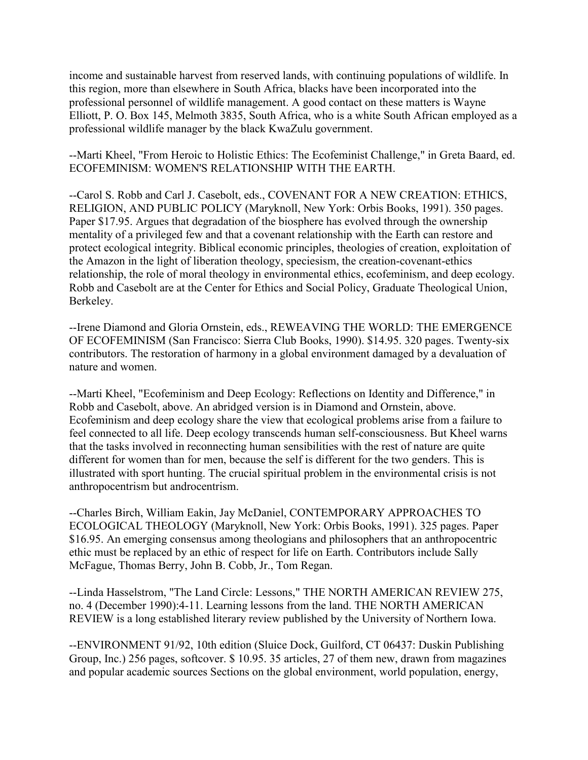income and sustainable harvest from reserved lands, with continuing populations of wildlife. In this region, more than elsewhere in South Africa, blacks have been incorporated into the professional personnel of wildlife management. A good contact on these matters is Wayne Elliott, P. O. Box 145, Melmoth 3835, South Africa, who is a white South African employed as a professional wildlife manager by the black KwaZulu government.

--Marti Kheel, "From Heroic to Holistic Ethics: The Ecofeminist Challenge," in Greta Baard, ed. ECOFEMINISM: WOMEN'S RELATIONSHIP WITH THE EARTH.

--Carol S. Robb and Carl J. Casebolt, eds., COVENANT FOR A NEW CREATION: ETHICS, RELIGION, AND PUBLIC POLICY (Maryknoll, New York: Orbis Books, 1991). 350 pages. Paper \$17.95. Argues that degradation of the biosphere has evolved through the ownership mentality of a privileged few and that a covenant relationship with the Earth can restore and protect ecological integrity. Biblical economic principles, theologies of creation, exploitation of the Amazon in the light of liberation theology, speciesism, the creation-covenant-ethics relationship, the role of moral theology in environmental ethics, ecofeminism, and deep ecology. Robb and Casebolt are at the Center for Ethics and Social Policy, Graduate Theological Union, Berkeley.

--Irene Diamond and Gloria Ornstein, eds., REWEAVING THE WORLD: THE EMERGENCE OF ECOFEMINISM (San Francisco: Sierra Club Books, 1990). \$14.95. 320 pages. Twenty-six contributors. The restoration of harmony in a global environment damaged by a devaluation of nature and women.

--Marti Kheel, "Ecofeminism and Deep Ecology: Reflections on Identity and Difference," in Robb and Casebolt, above. An abridged version is in Diamond and Ornstein, above. Ecofeminism and deep ecology share the view that ecological problems arise from a failure to feel connected to all life. Deep ecology transcends human self-consciousness. But Kheel warns that the tasks involved in reconnecting human sensibilities with the rest of nature are quite different for women than for men, because the self is different for the two genders. This is illustrated with sport hunting. The crucial spiritual problem in the environmental crisis is not anthropocentrism but androcentrism.

--Charles Birch, William Eakin, Jay McDaniel, CONTEMPORARY APPROACHES TO ECOLOGICAL THEOLOGY (Maryknoll, New York: Orbis Books, 1991). 325 pages. Paper \$16.95. An emerging consensus among theologians and philosophers that an anthropocentric ethic must be replaced by an ethic of respect for life on Earth. Contributors include Sally McFague, Thomas Berry, John B. Cobb, Jr., Tom Regan.

--Linda Hasselstrom, "The Land Circle: Lessons," THE NORTH AMERICAN REVIEW 275, no. 4 (December 1990):4-11. Learning lessons from the land. THE NORTH AMERICAN REVIEW is a long established literary review published by the University of Northern Iowa.

--ENVIRONMENT 91/92, 10th edition (Sluice Dock, Guilford, CT 06437: Duskin Publishing Group, Inc.) 256 pages, softcover. \$ 10.95. 35 articles, 27 of them new, drawn from magazines and popular academic sources Sections on the global environment, world population, energy,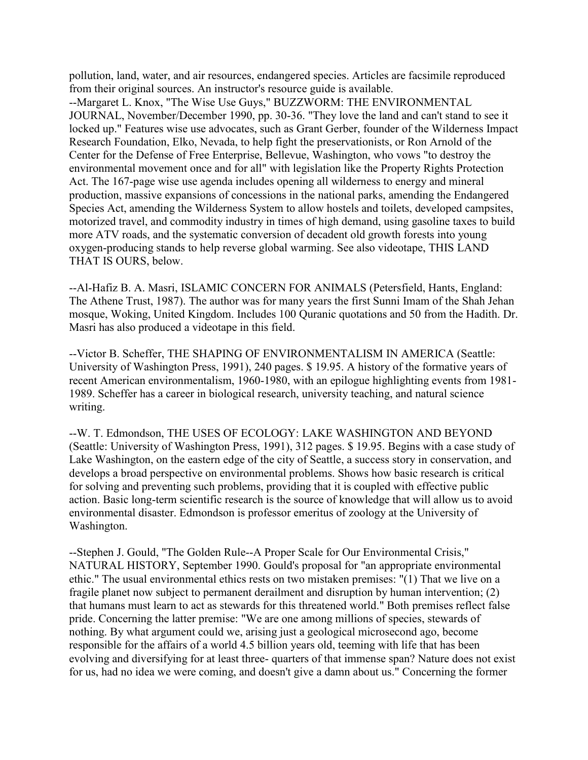pollution, land, water, and air resources, endangered species. Articles are facsimile reproduced from their original sources. An instructor's resource guide is available.

--Margaret L. Knox, "The Wise Use Guys," BUZZWORM: THE ENVIRONMENTAL JOURNAL, November/December 1990, pp. 30-36. "They love the land and can't stand to see it locked up." Features wise use advocates, such as Grant Gerber, founder of the Wilderness Impact Research Foundation, Elko, Nevada, to help fight the preservationists, or Ron Arnold of the Center for the Defense of Free Enterprise, Bellevue, Washington, who vows "to destroy the environmental movement once and for all" with legislation like the Property Rights Protection Act. The 167-page wise use agenda includes opening all wilderness to energy and mineral production, massive expansions of concessions in the national parks, amending the Endangered Species Act, amending the Wilderness System to allow hostels and toilets, developed campsites, motorized travel, and commodity industry in times of high demand, using gasoline taxes to build more ATV roads, and the systematic conversion of decadent old growth forests into young oxygen-producing stands to help reverse global warming. See also videotape, THIS LAND THAT IS OURS, below.

--Al-Hafiz B. A. Masri, ISLAMIC CONCERN FOR ANIMALS (Petersfield, Hants, England: The Athene Trust, 1987). The author was for many years the first Sunni Imam of the Shah Jehan mosque, Woking, United Kingdom. Includes 100 Quranic quotations and 50 from the Hadith. Dr. Masri has also produced a videotape in this field.

--Victor B. Scheffer, THE SHAPING OF ENVIRONMENTALISM IN AMERICA (Seattle: University of Washington Press, 1991), 240 pages. \$ 19.95. A history of the formative years of recent American environmentalism, 1960-1980, with an epilogue highlighting events from 1981- 1989. Scheffer has a career in biological research, university teaching, and natural science writing.

--W. T. Edmondson, THE USES OF ECOLOGY: LAKE WASHINGTON AND BEYOND (Seattle: University of Washington Press, 1991), 312 pages. \$ 19.95. Begins with a case study of Lake Washington, on the eastern edge of the city of Seattle, a success story in conservation, and develops a broad perspective on environmental problems. Shows how basic research is critical for solving and preventing such problems, providing that it is coupled with effective public action. Basic long-term scientific research is the source of knowledge that will allow us to avoid environmental disaster. Edmondson is professor emeritus of zoology at the University of Washington.

--Stephen J. Gould, "The Golden Rule--A Proper Scale for Our Environmental Crisis," NATURAL HISTORY, September 1990. Gould's proposal for "an appropriate environmental ethic." The usual environmental ethics rests on two mistaken premises: "(1) That we live on a fragile planet now subject to permanent derailment and disruption by human intervention; (2) that humans must learn to act as stewards for this threatened world." Both premises reflect false pride. Concerning the latter premise: "We are one among millions of species, stewards of nothing. By what argument could we, arising just a geological microsecond ago, become responsible for the affairs of a world 4.5 billion years old, teeming with life that has been evolving and diversifying for at least three- quarters of that immense span? Nature does not exist for us, had no idea we were coming, and doesn't give a damn about us." Concerning the former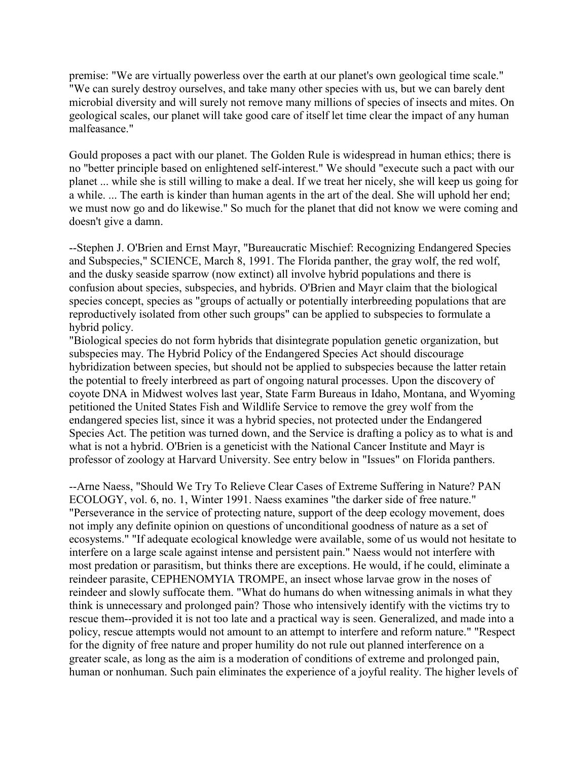premise: "We are virtually powerless over the earth at our planet's own geological time scale." "We can surely destroy ourselves, and take many other species with us, but we can barely dent microbial diversity and will surely not remove many millions of species of insects and mites. On geological scales, our planet will take good care of itself let time clear the impact of any human malfeasance."

Gould proposes a pact with our planet. The Golden Rule is widespread in human ethics; there is no "better principle based on enlightened self-interest." We should "execute such a pact with our planet ... while she is still willing to make a deal. If we treat her nicely, she will keep us going for a while. ... The earth is kinder than human agents in the art of the deal. She will uphold her end; we must now go and do likewise." So much for the planet that did not know we were coming and doesn't give a damn.

--Stephen J. O'Brien and Ernst Mayr, "Bureaucratic Mischief: Recognizing Endangered Species and Subspecies," SCIENCE, March 8, 1991. The Florida panther, the gray wolf, the red wolf, and the dusky seaside sparrow (now extinct) all involve hybrid populations and there is confusion about species, subspecies, and hybrids. O'Brien and Mayr claim that the biological species concept, species as "groups of actually or potentially interbreeding populations that are reproductively isolated from other such groups" can be applied to subspecies to formulate a hybrid policy.

"Biological species do not form hybrids that disintegrate population genetic organization, but subspecies may. The Hybrid Policy of the Endangered Species Act should discourage hybridization between species, but should not be applied to subspecies because the latter retain the potential to freely interbreed as part of ongoing natural processes. Upon the discovery of coyote DNA in Midwest wolves last year, State Farm Bureaus in Idaho, Montana, and Wyoming petitioned the United States Fish and Wildlife Service to remove the grey wolf from the endangered species list, since it was a hybrid species, not protected under the Endangered Species Act. The petition was turned down, and the Service is drafting a policy as to what is and what is not a hybrid. O'Brien is a geneticist with the National Cancer Institute and Mayr is professor of zoology at Harvard University. See entry below in "Issues" on Florida panthers.

--Arne Naess, "Should We Try To Relieve Clear Cases of Extreme Suffering in Nature? PAN ECOLOGY, vol. 6, no. 1, Winter 1991. Naess examines "the darker side of free nature." "Perseverance in the service of protecting nature, support of the deep ecology movement, does not imply any definite opinion on questions of unconditional goodness of nature as a set of ecosystems." "If adequate ecological knowledge were available, some of us would not hesitate to interfere on a large scale against intense and persistent pain." Naess would not interfere with most predation or parasitism, but thinks there are exceptions. He would, if he could, eliminate a reindeer parasite, CEPHENOMYIA TROMPE, an insect whose larvae grow in the noses of reindeer and slowly suffocate them. "What do humans do when witnessing animals in what they think is unnecessary and prolonged pain? Those who intensively identify with the victims try to rescue them--provided it is not too late and a practical way is seen. Generalized, and made into a policy, rescue attempts would not amount to an attempt to interfere and reform nature." "Respect for the dignity of free nature and proper humility do not rule out planned interference on a greater scale, as long as the aim is a moderation of conditions of extreme and prolonged pain, human or nonhuman. Such pain eliminates the experience of a joyful reality. The higher levels of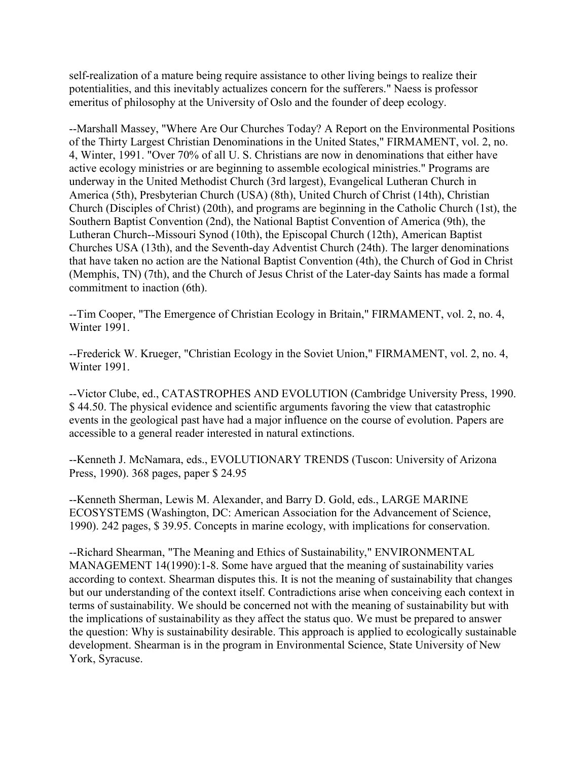self-realization of a mature being require assistance to other living beings to realize their potentialities, and this inevitably actualizes concern for the sufferers." Naess is professor emeritus of philosophy at the University of Oslo and the founder of deep ecology.

--Marshall Massey, "Where Are Our Churches Today? A Report on the Environmental Positions of the Thirty Largest Christian Denominations in the United States," FIRMAMENT, vol. 2, no. 4, Winter, 1991. "Over 70% of all U. S. Christians are now in denominations that either have active ecology ministries or are beginning to assemble ecological ministries." Programs are underway in the United Methodist Church (3rd largest), Evangelical Lutheran Church in America (5th), Presbyterian Church (USA) (8th), United Church of Christ (14th), Christian Church (Disciples of Christ) (20th), and programs are beginning in the Catholic Church (1st), the Southern Baptist Convention (2nd), the National Baptist Convention of America (9th), the Lutheran Church--Missouri Synod (10th), the Episcopal Church (12th), American Baptist Churches USA (13th), and the Seventh-day Adventist Church (24th). The larger denominations that have taken no action are the National Baptist Convention (4th), the Church of God in Christ (Memphis, TN) (7th), and the Church of Jesus Christ of the Later-day Saints has made a formal commitment to inaction (6th).

--Tim Cooper, "The Emergence of Christian Ecology in Britain," FIRMAMENT, vol. 2, no. 4, Winter 1991.

--Frederick W. Krueger, "Christian Ecology in the Soviet Union," FIRMAMENT, vol. 2, no. 4, Winter 1991.

--Victor Clube, ed., CATASTROPHES AND EVOLUTION (Cambridge University Press, 1990. \$ 44.50. The physical evidence and scientific arguments favoring the view that catastrophic events in the geological past have had a major influence on the course of evolution. Papers are accessible to a general reader interested in natural extinctions.

--Kenneth J. McNamara, eds., EVOLUTIONARY TRENDS (Tuscon: University of Arizona Press, 1990). 368 pages, paper \$ 24.95

--Kenneth Sherman, Lewis M. Alexander, and Barry D. Gold, eds., LARGE MARINE ECOSYSTEMS (Washington, DC: American Association for the Advancement of Science, 1990). 242 pages, \$ 39.95. Concepts in marine ecology, with implications for conservation.

--Richard Shearman, "The Meaning and Ethics of Sustainability," ENVIRONMENTAL MANAGEMENT 14(1990):1-8. Some have argued that the meaning of sustainability varies according to context. Shearman disputes this. It is not the meaning of sustainability that changes but our understanding of the context itself. Contradictions arise when conceiving each context in terms of sustainability. We should be concerned not with the meaning of sustainability but with the implications of sustainability as they affect the status quo. We must be prepared to answer the question: Why is sustainability desirable. This approach is applied to ecologically sustainable development. Shearman is in the program in Environmental Science, State University of New York, Syracuse.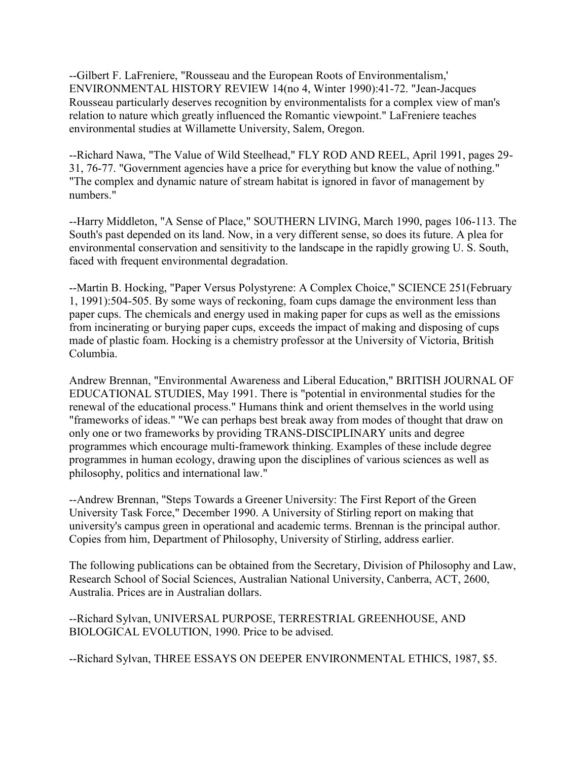--Gilbert F. LaFreniere, "Rousseau and the European Roots of Environmentalism,' ENVIRONMENTAL HISTORY REVIEW 14(no 4, Winter 1990):41-72. "Jean-Jacques Rousseau particularly deserves recognition by environmentalists for a complex view of man's relation to nature which greatly influenced the Romantic viewpoint." LaFreniere teaches environmental studies at Willamette University, Salem, Oregon.

--Richard Nawa, "The Value of Wild Steelhead," FLY ROD AND REEL, April 1991, pages 29- 31, 76-77. "Government agencies have a price for everything but know the value of nothing." "The complex and dynamic nature of stream habitat is ignored in favor of management by numbers."

--Harry Middleton, "A Sense of Place," SOUTHERN LIVING, March 1990, pages 106-113. The South's past depended on its land. Now, in a very different sense, so does its future. A plea for environmental conservation and sensitivity to the landscape in the rapidly growing U. S. South, faced with frequent environmental degradation.

--Martin B. Hocking, "Paper Versus Polystyrene: A Complex Choice," SCIENCE 251(February 1, 1991):504-505. By some ways of reckoning, foam cups damage the environment less than paper cups. The chemicals and energy used in making paper for cups as well as the emissions from incinerating or burying paper cups, exceeds the impact of making and disposing of cups made of plastic foam. Hocking is a chemistry professor at the University of Victoria, British Columbia.

Andrew Brennan, "Environmental Awareness and Liberal Education," BRITISH JOURNAL OF EDUCATIONAL STUDIES, May 1991. There is "potential in environmental studies for the renewal of the educational process." Humans think and orient themselves in the world using "frameworks of ideas." "We can perhaps best break away from modes of thought that draw on only one or two frameworks by providing TRANS-DISCIPLINARY units and degree programmes which encourage multi-framework thinking. Examples of these include degree programmes in human ecology, drawing upon the disciplines of various sciences as well as philosophy, politics and international law."

--Andrew Brennan, "Steps Towards a Greener University: The First Report of the Green University Task Force," December 1990. A University of Stirling report on making that university's campus green in operational and academic terms. Brennan is the principal author. Copies from him, Department of Philosophy, University of Stirling, address earlier.

The following publications can be obtained from the Secretary, Division of Philosophy and Law, Research School of Social Sciences, Australian National University, Canberra, ACT, 2600, Australia. Prices are in Australian dollars.

--Richard Sylvan, UNIVERSAL PURPOSE, TERRESTRIAL GREENHOUSE, AND BIOLOGICAL EVOLUTION, 1990. Price to be advised.

--Richard Sylvan, THREE ESSAYS ON DEEPER ENVIRONMENTAL ETHICS, 1987, \$5.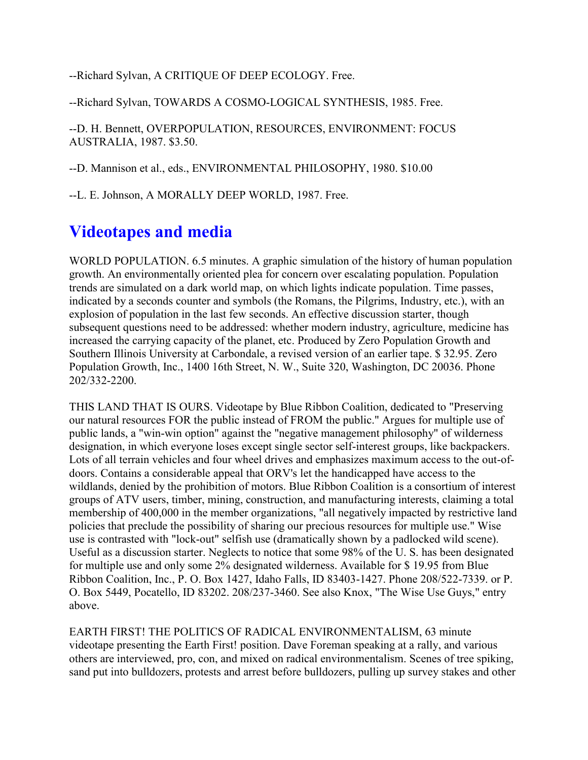--Richard Sylvan, A CRITIQUE OF DEEP ECOLOGY. Free.

--Richard Sylvan, TOWARDS A COSMO-LOGICAL SYNTHESIS, 1985. Free.

--D. H. Bennett, OVERPOPULATION, RESOURCES, ENVIRONMENT: FOCUS AUSTRALIA, 1987. \$3.50.

--D. Mannison et al., eds., ENVIRONMENTAL PHILOSOPHY, 1980. \$10.00

--L. E. Johnson, A MORALLY DEEP WORLD, 1987. Free.

## **Videotapes and media**

WORLD POPULATION. 6.5 minutes. A graphic simulation of the history of human population growth. An environmentally oriented plea for concern over escalating population. Population trends are simulated on a dark world map, on which lights indicate population. Time passes, indicated by a seconds counter and symbols (the Romans, the Pilgrims, Industry, etc.), with an explosion of population in the last few seconds. An effective discussion starter, though subsequent questions need to be addressed: whether modern industry, agriculture, medicine has increased the carrying capacity of the planet, etc. Produced by Zero Population Growth and Southern Illinois University at Carbondale, a revised version of an earlier tape. \$ 32.95. Zero Population Growth, Inc., 1400 16th Street, N. W., Suite 320, Washington, DC 20036. Phone 202/332-2200.

THIS LAND THAT IS OURS. Videotape by Blue Ribbon Coalition, dedicated to "Preserving our natural resources FOR the public instead of FROM the public." Argues for multiple use of public lands, a "win-win option" against the "negative management philosophy" of wilderness designation, in which everyone loses except single sector self-interest groups, like backpackers. Lots of all terrain vehicles and four wheel drives and emphasizes maximum access to the out-ofdoors. Contains a considerable appeal that ORV's let the handicapped have access to the wildlands, denied by the prohibition of motors. Blue Ribbon Coalition is a consortium of interest groups of ATV users, timber, mining, construction, and manufacturing interests, claiming a total membership of 400,000 in the member organizations, "all negatively impacted by restrictive land policies that preclude the possibility of sharing our precious resources for multiple use." Wise use is contrasted with "lock-out" selfish use (dramatically shown by a padlocked wild scene). Useful as a discussion starter. Neglects to notice that some 98% of the U. S. has been designated for multiple use and only some 2% designated wilderness. Available for \$ 19.95 from Blue Ribbon Coalition, Inc., P. O. Box 1427, Idaho Falls, ID 83403-1427. Phone 208/522-7339. or P. O. Box 5449, Pocatello, ID 83202. 208/237-3460. See also Knox, "The Wise Use Guys," entry above.

EARTH FIRST! THE POLITICS OF RADICAL ENVIRONMENTALISM, 63 minute videotape presenting the Earth First! position. Dave Foreman speaking at a rally, and various others are interviewed, pro, con, and mixed on radical environmentalism. Scenes of tree spiking, sand put into bulldozers, protests and arrest before bulldozers, pulling up survey stakes and other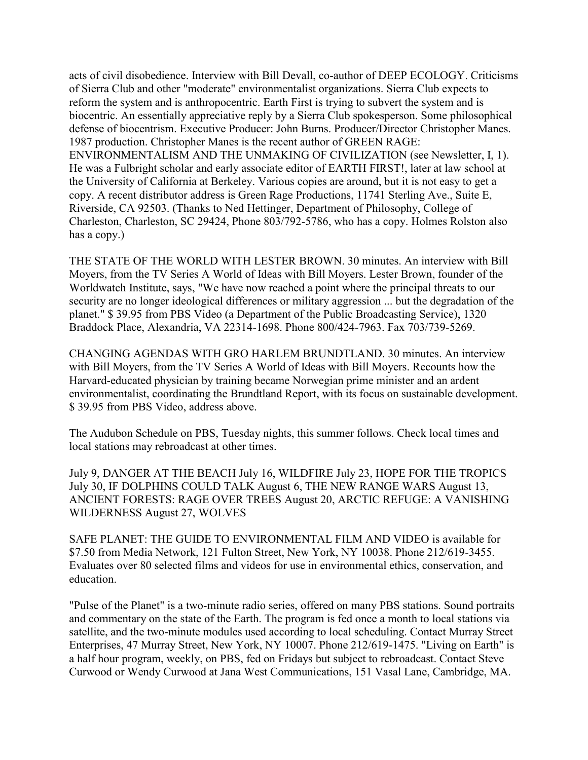acts of civil disobedience. Interview with Bill Devall, co-author of DEEP ECOLOGY. Criticisms of Sierra Club and other "moderate" environmentalist organizations. Sierra Club expects to reform the system and is anthropocentric. Earth First is trying to subvert the system and is biocentric. An essentially appreciative reply by a Sierra Club spokesperson. Some philosophical defense of biocentrism. Executive Producer: John Burns. Producer/Director Christopher Manes. 1987 production. Christopher Manes is the recent author of GREEN RAGE: ENVIRONMENTALISM AND THE UNMAKING OF CIVILIZATION (see Newsletter, I, 1). He was a Fulbright scholar and early associate editor of EARTH FIRST!, later at law school at the University of California at Berkeley. Various copies are around, but it is not easy to get a copy. A recent distributor address is Green Rage Productions, 11741 Sterling Ave., Suite E, Riverside, CA 92503. (Thanks to Ned Hettinger, Department of Philosophy, College of Charleston, Charleston, SC 29424, Phone 803/792-5786, who has a copy. Holmes Rolston also has a copy.)

THE STATE OF THE WORLD WITH LESTER BROWN. 30 minutes. An interview with Bill Moyers, from the TV Series A World of Ideas with Bill Moyers. Lester Brown, founder of the Worldwatch Institute, says, "We have now reached a point where the principal threats to our security are no longer ideological differences or military aggression ... but the degradation of the planet." \$ 39.95 from PBS Video (a Department of the Public Broadcasting Service), 1320 Braddock Place, Alexandria, VA 22314-1698. Phone 800/424-7963. Fax 703/739-5269.

CHANGING AGENDAS WITH GRO HARLEM BRUNDTLAND. 30 minutes. An interview with Bill Moyers, from the TV Series A World of Ideas with Bill Moyers. Recounts how the Harvard-educated physician by training became Norwegian prime minister and an ardent environmentalist, coordinating the Brundtland Report, with its focus on sustainable development. \$ 39.95 from PBS Video, address above.

The Audubon Schedule on PBS, Tuesday nights, this summer follows. Check local times and local stations may rebroadcast at other times.

July 9, DANGER AT THE BEACH July 16, WILDFIRE July 23, HOPE FOR THE TROPICS July 30, IF DOLPHINS COULD TALK August 6, THE NEW RANGE WARS August 13, ANCIENT FORESTS: RAGE OVER TREES August 20, ARCTIC REFUGE: A VANISHING WILDERNESS August 27, WOLVES

SAFE PLANET: THE GUIDE TO ENVIRONMENTAL FILM AND VIDEO is available for \$7.50 from Media Network, 121 Fulton Street, New York, NY 10038. Phone 212/619-3455. Evaluates over 80 selected films and videos for use in environmental ethics, conservation, and education.

"Pulse of the Planet" is a two-minute radio series, offered on many PBS stations. Sound portraits and commentary on the state of the Earth. The program is fed once a month to local stations via satellite, and the two-minute modules used according to local scheduling. Contact Murray Street Enterprises, 47 Murray Street, New York, NY 10007. Phone 212/619-1475. "Living on Earth" is a half hour program, weekly, on PBS, fed on Fridays but subject to rebroadcast. Contact Steve Curwood or Wendy Curwood at Jana West Communications, 151 Vasal Lane, Cambridge, MA.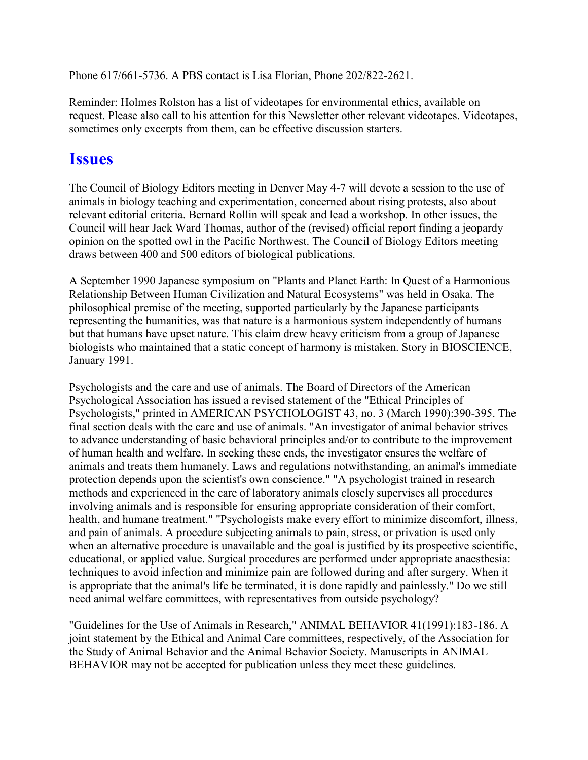Phone 617/661-5736. A PBS contact is Lisa Florian, Phone 202/822-2621.

Reminder: Holmes Rolston has a list of videotapes for environmental ethics, available on request. Please also call to his attention for this Newsletter other relevant videotapes. Videotapes, sometimes only excerpts from them, can be effective discussion starters.

#### **Issues**

The Council of Biology Editors meeting in Denver May 4-7 will devote a session to the use of animals in biology teaching and experimentation, concerned about rising protests, also about relevant editorial criteria. Bernard Rollin will speak and lead a workshop. In other issues, the Council will hear Jack Ward Thomas, author of the (revised) official report finding a jeopardy opinion on the spotted owl in the Pacific Northwest. The Council of Biology Editors meeting draws between 400 and 500 editors of biological publications.

A September 1990 Japanese symposium on "Plants and Planet Earth: In Quest of a Harmonious Relationship Between Human Civilization and Natural Ecosystems" was held in Osaka. The philosophical premise of the meeting, supported particularly by the Japanese participants representing the humanities, was that nature is a harmonious system independently of humans but that humans have upset nature. This claim drew heavy criticism from a group of Japanese biologists who maintained that a static concept of harmony is mistaken. Story in BIOSCIENCE, January 1991.

Psychologists and the care and use of animals. The Board of Directors of the American Psychological Association has issued a revised statement of the "Ethical Principles of Psychologists," printed in AMERICAN PSYCHOLOGIST 43, no. 3 (March 1990):390-395. The final section deals with the care and use of animals. "An investigator of animal behavior strives to advance understanding of basic behavioral principles and/or to contribute to the improvement of human health and welfare. In seeking these ends, the investigator ensures the welfare of animals and treats them humanely. Laws and regulations notwithstanding, an animal's immediate protection depends upon the scientist's own conscience." "A psychologist trained in research methods and experienced in the care of laboratory animals closely supervises all procedures involving animals and is responsible for ensuring appropriate consideration of their comfort, health, and humane treatment." "Psychologists make every effort to minimize discomfort, illness, and pain of animals. A procedure subjecting animals to pain, stress, or privation is used only when an alternative procedure is unavailable and the goal is justified by its prospective scientific, educational, or applied value. Surgical procedures are performed under appropriate anaesthesia: techniques to avoid infection and minimize pain are followed during and after surgery. When it is appropriate that the animal's life be terminated, it is done rapidly and painlessly." Do we still need animal welfare committees, with representatives from outside psychology?

"Guidelines for the Use of Animals in Research," ANIMAL BEHAVIOR 41(1991):183-186. A joint statement by the Ethical and Animal Care committees, respectively, of the Association for the Study of Animal Behavior and the Animal Behavior Society. Manuscripts in ANIMAL BEHAVIOR may not be accepted for publication unless they meet these guidelines.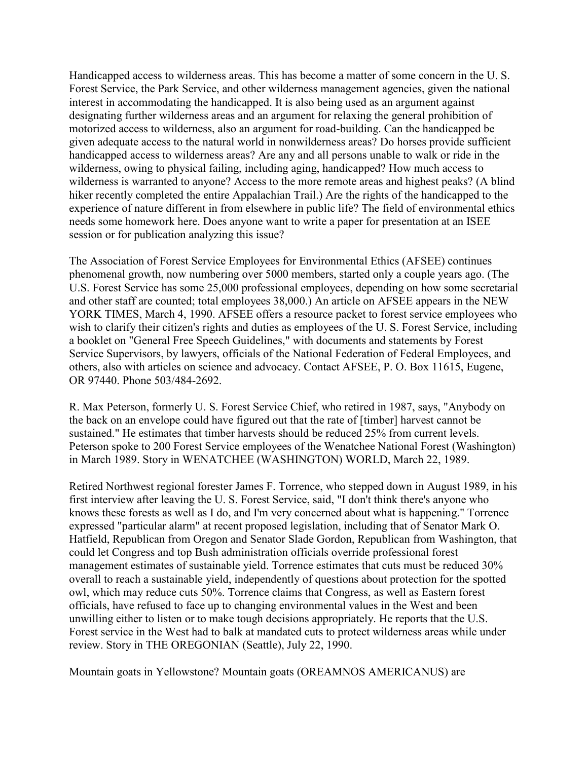Handicapped access to wilderness areas. This has become a matter of some concern in the U. S. Forest Service, the Park Service, and other wilderness management agencies, given the national interest in accommodating the handicapped. It is also being used as an argument against designating further wilderness areas and an argument for relaxing the general prohibition of motorized access to wilderness, also an argument for road-building. Can the handicapped be given adequate access to the natural world in nonwilderness areas? Do horses provide sufficient handicapped access to wilderness areas? Are any and all persons unable to walk or ride in the wilderness, owing to physical failing, including aging, handicapped? How much access to wilderness is warranted to anyone? Access to the more remote areas and highest peaks? (A blind hiker recently completed the entire Appalachian Trail.) Are the rights of the handicapped to the experience of nature different in from elsewhere in public life? The field of environmental ethics needs some homework here. Does anyone want to write a paper for presentation at an ISEE session or for publication analyzing this issue?

The Association of Forest Service Employees for Environmental Ethics (AFSEE) continues phenomenal growth, now numbering over 5000 members, started only a couple years ago. (The U.S. Forest Service has some 25,000 professional employees, depending on how some secretarial and other staff are counted; total employees 38,000.) An article on AFSEE appears in the NEW YORK TIMES, March 4, 1990. AFSEE offers a resource packet to forest service employees who wish to clarify their citizen's rights and duties as employees of the U. S. Forest Service, including a booklet on "General Free Speech Guidelines," with documents and statements by Forest Service Supervisors, by lawyers, officials of the National Federation of Federal Employees, and others, also with articles on science and advocacy. Contact AFSEE, P. O. Box 11615, Eugene, OR 97440. Phone 503/484-2692.

R. Max Peterson, formerly U. S. Forest Service Chief, who retired in 1987, says, "Anybody on the back on an envelope could have figured out that the rate of [timber] harvest cannot be sustained." He estimates that timber harvests should be reduced 25% from current levels. Peterson spoke to 200 Forest Service employees of the Wenatchee National Forest (Washington) in March 1989. Story in WENATCHEE (WASHINGTON) WORLD, March 22, 1989.

Retired Northwest regional forester James F. Torrence, who stepped down in August 1989, in his first interview after leaving the U. S. Forest Service, said, "I don't think there's anyone who knows these forests as well as I do, and I'm very concerned about what is happening." Torrence expressed "particular alarm" at recent proposed legislation, including that of Senator Mark O. Hatfield, Republican from Oregon and Senator Slade Gordon, Republican from Washington, that could let Congress and top Bush administration officials override professional forest management estimates of sustainable yield. Torrence estimates that cuts must be reduced 30% overall to reach a sustainable yield, independently of questions about protection for the spotted owl, which may reduce cuts 50%. Torrence claims that Congress, as well as Eastern forest officials, have refused to face up to changing environmental values in the West and been unwilling either to listen or to make tough decisions appropriately. He reports that the U.S. Forest service in the West had to balk at mandated cuts to protect wilderness areas while under review. Story in THE OREGONIAN (Seattle), July 22, 1990.

Mountain goats in Yellowstone? Mountain goats (OREAMNOS AMERICANUS) are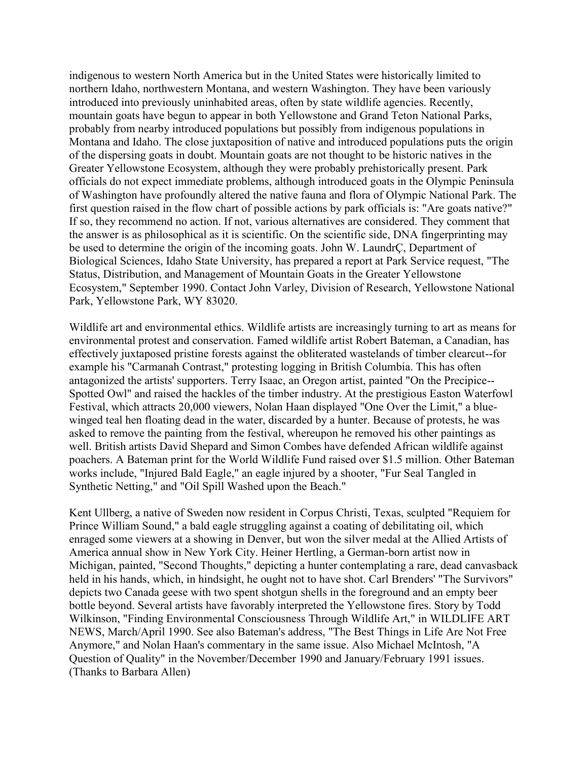indigenous to western North America but in the United States were historically limited to northern Idaho, northwestern Montana, and western Washington. They have been variously introduced into previously uninhabited areas, often by state wildlife agencies. Recently, mountain goats have begun to appear in both Yellowstone and Grand Teton National Parks, probably from nearby introduced populations but possibly from indigenous populations in Montana and Idaho. The close juxtaposition of native and introduced populations puts the origin of the dispersing goats in doubt. Mountain goats are not thought to be historic natives in the Greater Yellowstone Ecosystem, although they were probably prehistorically present. Park officials do not expect immediate problems, although introduced goats in the Olympic Peninsula of Washington have profoundly altered the native fauna and flora of Olympic National Park. The first question raised in the flow chart of possible actions by park officials is: "Are goats native?" If so, they recommend no action. If not, various alternatives are considered. They comment that the answer is as philosophical as it is scientific. On the scientific side, DNA fingerprinting may be used to determine the origin of the incoming goats. John W. LaundrÇ, Department of Biological Sciences, Idaho State University, has prepared a report at Park Service request, "The Status, Distribution, and Management of Mountain Goats in the Greater Yellowstone Ecosystem," September 1990. Contact John Varley, Division of Research, Yellowstone National Park, Yellowstone Park, WY 83020.

Wildlife art and environmental ethics. Wildlife artists are increasingly turning to art as means for environmental protest and conservation. Famed wildlife artist Robert Bateman, a Canadian, has effectively juxtaposed pristine forests against the obliterated wastelands of timber clearcut--for example his "Carmanah Contrast," protesting logging in British Columbia. This has often antagonized the artists' supporters. Terry Isaac, an Oregon artist, painted "On the Precipice-- Spotted Owl" and raised the hackles of the timber industry. At the prestigious Easton Waterfowl Festival, which attracts 20,000 viewers, Nolan Haan displayed "One Over the Limit," a bluewinged teal hen floating dead in the water, discarded by a hunter. Because of protests, he was asked to remove the painting from the festival, whereupon he removed his other paintings as well. British artists David Shepard and Simon Combes have defended African wildlife against poachers. A Bateman print for the World Wildlife Fund raised over \$1.5 million. Other Bateman works include, "Injured Bald Eagle," an eagle injured by a shooter, "Fur Seal Tangled in Synthetic Netting," and "Oil Spill Washed upon the Beach."

Kent Ullberg, a native of Sweden now resident in Corpus Christi, Texas, sculpted "Requiem for Prince William Sound," a bald eagle struggling against a coating of debilitating oil, which enraged some viewers at a showing in Denver, but won the silver medal at the Allied Artists of America annual show in New York City. Heiner Hertling, a German-born artist now in Michigan, painted, "Second Thoughts," depicting a hunter contemplating a rare, dead canvasback held in his hands, which, in hindsight, he ought not to have shot. Carl Brenders' "The Survivors" depicts two Canada geese with two spent shotgun shells in the foreground and an empty beer bottle beyond. Several artists have favorably interpreted the Yellowstone fires. Story by Todd Wilkinson, "Finding Environmental Consciousness Through Wildlife Art," in WILDLIFE ART NEWS, March/April 1990. See also Bateman's address, "The Best Things in Life Are Not Free Anymore," and Nolan Haan's commentary in the same issue. Also Michael McIntosh, "A Question of Quality" in the November/December 1990 and January/February 1991 issues. (Thanks to Barbara Allen)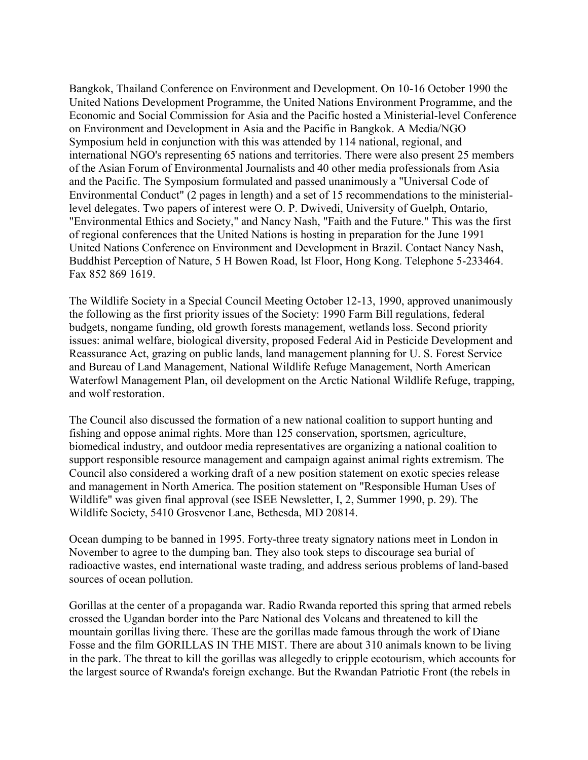Bangkok, Thailand Conference on Environment and Development. On 10-16 October 1990 the United Nations Development Programme, the United Nations Environment Programme, and the Economic and Social Commission for Asia and the Pacific hosted a Ministerial-level Conference on Environment and Development in Asia and the Pacific in Bangkok. A Media/NGO Symposium held in conjunction with this was attended by 114 national, regional, and international NGO's representing 65 nations and territories. There were also present 25 members of the Asian Forum of Environmental Journalists and 40 other media professionals from Asia and the Pacific. The Symposium formulated and passed unanimously a "Universal Code of Environmental Conduct" (2 pages in length) and a set of 15 recommendations to the ministeriallevel delegates. Two papers of interest were O. P. Dwivedi, University of Guelph, Ontario, "Environmental Ethics and Society," and Nancy Nash, "Faith and the Future." This was the first of regional conferences that the United Nations is hosting in preparation for the June 1991 United Nations Conference on Environment and Development in Brazil. Contact Nancy Nash, Buddhist Perception of Nature, 5 H Bowen Road, lst Floor, Hong Kong. Telephone 5-233464. Fax 852 869 1619.

The Wildlife Society in a Special Council Meeting October 12-13, 1990, approved unanimously the following as the first priority issues of the Society: 1990 Farm Bill regulations, federal budgets, nongame funding, old growth forests management, wetlands loss. Second priority issues: animal welfare, biological diversity, proposed Federal Aid in Pesticide Development and Reassurance Act, grazing on public lands, land management planning for U. S. Forest Service and Bureau of Land Management, National Wildlife Refuge Management, North American Waterfowl Management Plan, oil development on the Arctic National Wildlife Refuge, trapping, and wolf restoration.

The Council also discussed the formation of a new national coalition to support hunting and fishing and oppose animal rights. More than 125 conservation, sportsmen, agriculture, biomedical industry, and outdoor media representatives are organizing a national coalition to support responsible resource management and campaign against animal rights extremism. The Council also considered a working draft of a new position statement on exotic species release and management in North America. The position statement on "Responsible Human Uses of Wildlife" was given final approval (see ISEE Newsletter, I, 2, Summer 1990, p. 29). The Wildlife Society, 5410 Grosvenor Lane, Bethesda, MD 20814.

Ocean dumping to be banned in 1995. Forty-three treaty signatory nations meet in London in November to agree to the dumping ban. They also took steps to discourage sea burial of radioactive wastes, end international waste trading, and address serious problems of land-based sources of ocean pollution.

Gorillas at the center of a propaganda war. Radio Rwanda reported this spring that armed rebels crossed the Ugandan border into the Parc National des Volcans and threatened to kill the mountain gorillas living there. These are the gorillas made famous through the work of Diane Fosse and the film GORILLAS IN THE MIST. There are about 310 animals known to be living in the park. The threat to kill the gorillas was allegedly to cripple ecotourism, which accounts for the largest source of Rwanda's foreign exchange. But the Rwandan Patriotic Front (the rebels in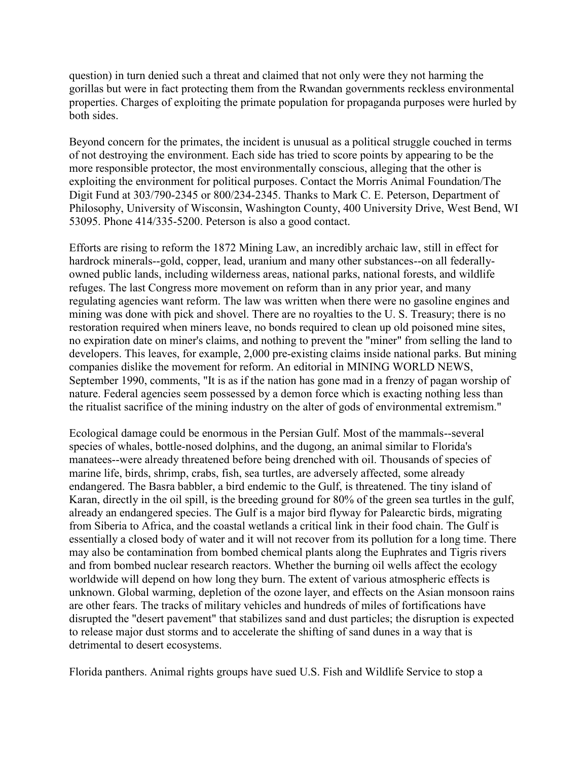question) in turn denied such a threat and claimed that not only were they not harming the gorillas but were in fact protecting them from the Rwandan governments reckless environmental properties. Charges of exploiting the primate population for propaganda purposes were hurled by both sides.

Beyond concern for the primates, the incident is unusual as a political struggle couched in terms of not destroying the environment. Each side has tried to score points by appearing to be the more responsible protector, the most environmentally conscious, alleging that the other is exploiting the environment for political purposes. Contact the Morris Animal Foundation/The Digit Fund at 303/790-2345 or 800/234-2345. Thanks to Mark C. E. Peterson, Department of Philosophy, University of Wisconsin, Washington County, 400 University Drive, West Bend, WI 53095. Phone 414/335-5200. Peterson is also a good contact.

Efforts are rising to reform the 1872 Mining Law, an incredibly archaic law, still in effect for hardrock minerals--gold, copper, lead, uranium and many other substances--on all federallyowned public lands, including wilderness areas, national parks, national forests, and wildlife refuges. The last Congress more movement on reform than in any prior year, and many regulating agencies want reform. The law was written when there were no gasoline engines and mining was done with pick and shovel. There are no royalties to the U. S. Treasury; there is no restoration required when miners leave, no bonds required to clean up old poisoned mine sites, no expiration date on miner's claims, and nothing to prevent the "miner" from selling the land to developers. This leaves, for example, 2,000 pre-existing claims inside national parks. But mining companies dislike the movement for reform. An editorial in MINING WORLD NEWS, September 1990, comments, "It is as if the nation has gone mad in a frenzy of pagan worship of nature. Federal agencies seem possessed by a demon force which is exacting nothing less than the ritualist sacrifice of the mining industry on the alter of gods of environmental extremism."

Ecological damage could be enormous in the Persian Gulf. Most of the mammals--several species of whales, bottle-nosed dolphins, and the dugong, an animal similar to Florida's manatees--were already threatened before being drenched with oil. Thousands of species of marine life, birds, shrimp, crabs, fish, sea turtles, are adversely affected, some already endangered. The Basra babbler, a bird endemic to the Gulf, is threatened. The tiny island of Karan, directly in the oil spill, is the breeding ground for 80% of the green sea turtles in the gulf, already an endangered species. The Gulf is a major bird flyway for Palearctic birds, migrating from Siberia to Africa, and the coastal wetlands a critical link in their food chain. The Gulf is essentially a closed body of water and it will not recover from its pollution for a long time. There may also be contamination from bombed chemical plants along the Euphrates and Tigris rivers and from bombed nuclear research reactors. Whether the burning oil wells affect the ecology worldwide will depend on how long they burn. The extent of various atmospheric effects is unknown. Global warming, depletion of the ozone layer, and effects on the Asian monsoon rains are other fears. The tracks of military vehicles and hundreds of miles of fortifications have disrupted the "desert pavement" that stabilizes sand and dust particles; the disruption is expected to release major dust storms and to accelerate the shifting of sand dunes in a way that is detrimental to desert ecosystems.

Florida panthers. Animal rights groups have sued U.S. Fish and Wildlife Service to stop a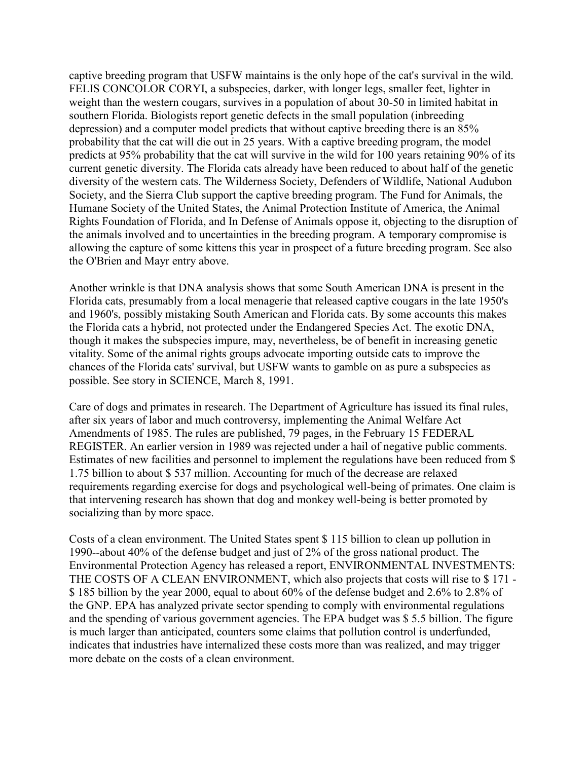captive breeding program that USFW maintains is the only hope of the cat's survival in the wild. FELIS CONCOLOR CORYI, a subspecies, darker, with longer legs, smaller feet, lighter in weight than the western cougars, survives in a population of about 30-50 in limited habitat in southern Florida. Biologists report genetic defects in the small population (inbreeding depression) and a computer model predicts that without captive breeding there is an 85% probability that the cat will die out in 25 years. With a captive breeding program, the model predicts at 95% probability that the cat will survive in the wild for 100 years retaining 90% of its current genetic diversity. The Florida cats already have been reduced to about half of the genetic diversity of the western cats. The Wilderness Society, Defenders of Wildlife, National Audubon Society, and the Sierra Club support the captive breeding program. The Fund for Animals, the Humane Society of the United States, the Animal Protection Institute of America, the Animal Rights Foundation of Florida, and In Defense of Animals oppose it, objecting to the disruption of the animals involved and to uncertainties in the breeding program. A temporary compromise is allowing the capture of some kittens this year in prospect of a future breeding program. See also the O'Brien and Mayr entry above.

Another wrinkle is that DNA analysis shows that some South American DNA is present in the Florida cats, presumably from a local menagerie that released captive cougars in the late 1950's and 1960's, possibly mistaking South American and Florida cats. By some accounts this makes the Florida cats a hybrid, not protected under the Endangered Species Act. The exotic DNA, though it makes the subspecies impure, may, nevertheless, be of benefit in increasing genetic vitality. Some of the animal rights groups advocate importing outside cats to improve the chances of the Florida cats' survival, but USFW wants to gamble on as pure a subspecies as possible. See story in SCIENCE, March 8, 1991.

Care of dogs and primates in research. The Department of Agriculture has issued its final rules, after six years of labor and much controversy, implementing the Animal Welfare Act Amendments of 1985. The rules are published, 79 pages, in the February 15 FEDERAL REGISTER. An earlier version in 1989 was rejected under a hail of negative public comments. Estimates of new facilities and personnel to implement the regulations have been reduced from \$ 1.75 billion to about \$ 537 million. Accounting for much of the decrease are relaxed requirements regarding exercise for dogs and psychological well-being of primates. One claim is that intervening research has shown that dog and monkey well-being is better promoted by socializing than by more space.

Costs of a clean environment. The United States spent \$ 115 billion to clean up pollution in 1990--about 40% of the defense budget and just of 2% of the gross national product. The Environmental Protection Agency has released a report, ENVIRONMENTAL INVESTMENTS: THE COSTS OF A CLEAN ENVIRONMENT, which also projects that costs will rise to \$ 171 - \$ 185 billion by the year 2000, equal to about 60% of the defense budget and 2.6% to 2.8% of the GNP. EPA has analyzed private sector spending to comply with environmental regulations and the spending of various government agencies. The EPA budget was \$ 5.5 billion. The figure is much larger than anticipated, counters some claims that pollution control is underfunded, indicates that industries have internalized these costs more than was realized, and may trigger more debate on the costs of a clean environment.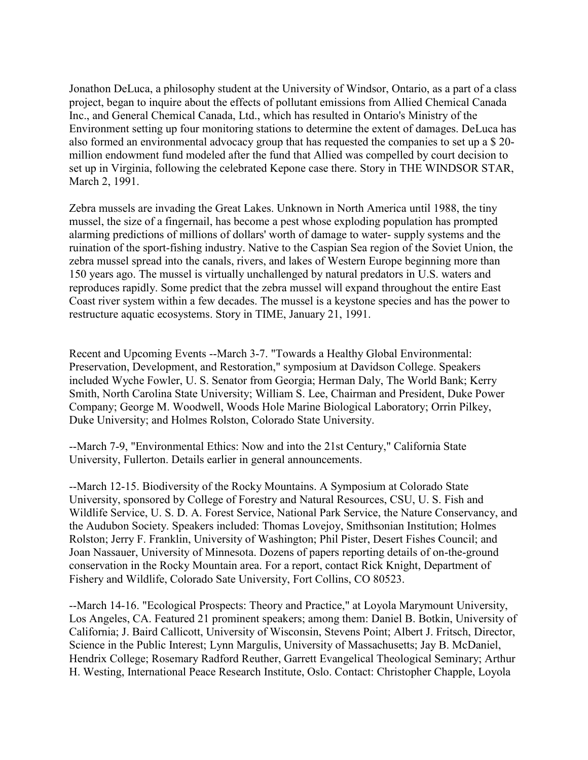Jonathon DeLuca, a philosophy student at the University of Windsor, Ontario, as a part of a class project, began to inquire about the effects of pollutant emissions from Allied Chemical Canada Inc., and General Chemical Canada, Ltd., which has resulted in Ontario's Ministry of the Environment setting up four monitoring stations to determine the extent of damages. DeLuca has also formed an environmental advocacy group that has requested the companies to set up a \$ 20 million endowment fund modeled after the fund that Allied was compelled by court decision to set up in Virginia, following the celebrated Kepone case there. Story in THE WINDSOR STAR, March 2, 1991.

Zebra mussels are invading the Great Lakes. Unknown in North America until 1988, the tiny mussel, the size of a fingernail, has become a pest whose exploding population has prompted alarming predictions of millions of dollars' worth of damage to water- supply systems and the ruination of the sport-fishing industry. Native to the Caspian Sea region of the Soviet Union, the zebra mussel spread into the canals, rivers, and lakes of Western Europe beginning more than 150 years ago. The mussel is virtually unchallenged by natural predators in U.S. waters and reproduces rapidly. Some predict that the zebra mussel will expand throughout the entire East Coast river system within a few decades. The mussel is a keystone species and has the power to restructure aquatic ecosystems. Story in TIME, January 21, 1991.

Recent and Upcoming Events --March 3-7. "Towards a Healthy Global Environmental: Preservation, Development, and Restoration," symposium at Davidson College. Speakers included Wyche Fowler, U. S. Senator from Georgia; Herman Daly, The World Bank; Kerry Smith, North Carolina State University; William S. Lee, Chairman and President, Duke Power Company; George M. Woodwell, Woods Hole Marine Biological Laboratory; Orrin Pilkey, Duke University; and Holmes Rolston, Colorado State University.

--March 7-9, "Environmental Ethics: Now and into the 21st Century," California State University, Fullerton. Details earlier in general announcements.

--March 12-15. Biodiversity of the Rocky Mountains. A Symposium at Colorado State University, sponsored by College of Forestry and Natural Resources, CSU, U. S. Fish and Wildlife Service, U. S. D. A. Forest Service, National Park Service, the Nature Conservancy, and the Audubon Society. Speakers included: Thomas Lovejoy, Smithsonian Institution; Holmes Rolston; Jerry F. Franklin, University of Washington; Phil Pister, Desert Fishes Council; and Joan Nassauer, University of Minnesota. Dozens of papers reporting details of on-the-ground conservation in the Rocky Mountain area. For a report, contact Rick Knight, Department of Fishery and Wildlife, Colorado Sate University, Fort Collins, CO 80523.

--March 14-16. "Ecological Prospects: Theory and Practice," at Loyola Marymount University, Los Angeles, CA. Featured 21 prominent speakers; among them: Daniel B. Botkin, University of California; J. Baird Callicott, University of Wisconsin, Stevens Point; Albert J. Fritsch, Director, Science in the Public Interest; Lynn Margulis, University of Massachusetts; Jay B. McDaniel, Hendrix College; Rosemary Radford Reuther, Garrett Evangelical Theological Seminary; Arthur H. Westing, International Peace Research Institute, Oslo. Contact: Christopher Chapple, Loyola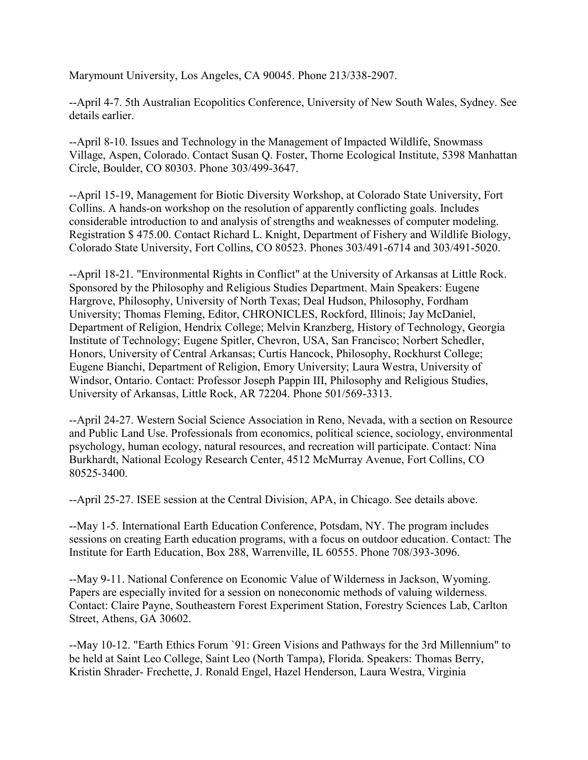Marymount University, Los Angeles, CA 90045. Phone 213/338-2907.

--April 4-7. 5th Australian Ecopolitics Conference, University of New South Wales, Sydney. See details earlier.

--April 8-10. Issues and Technology in the Management of Impacted Wildlife, Snowmass Village, Aspen, Colorado. Contact Susan Q. Foster, Thorne Ecological Institute, 5398 Manhattan Circle, Boulder, CO 80303. Phone 303/499-3647.

--April 15-19, Management for Biotic Diversity Workshop, at Colorado State University, Fort Collins. A hands-on workshop on the resolution of apparently conflicting goals. Includes considerable introduction to and analysis of strengths and weaknesses of computer modeling. Registration \$ 475.00. Contact Richard L. Knight, Department of Fishery and Wildlife Biology, Colorado State University, Fort Collins, CO 80523. Phones 303/491-6714 and 303/491-5020.

--April 18-21. "Environmental Rights in Conflict" at the University of Arkansas at Little Rock. Sponsored by the Philosophy and Religious Studies Department. Main Speakers: Eugene Hargrove, Philosophy, University of North Texas; Deal Hudson, Philosophy, Fordham University; Thomas Fleming, Editor, CHRONICLES, Rockford, Illinois; Jay McDaniel, Department of Religion, Hendrix College; Melvin Kranzberg, History of Technology, Georgia Institute of Technology; Eugene Spitler, Chevron, USA, San Francisco; Norbert Schedler, Honors, University of Central Arkansas; Curtis Hancock, Philosophy, Rockhurst College; Eugene Bianchi, Department of Religion, Emory University; Laura Westra, University of Windsor, Ontario. Contact: Professor Joseph Pappin III, Philosophy and Religious Studies, University of Arkansas, Little Rock, AR 72204. Phone 501/569-3313.

--April 24-27. Western Social Science Association in Reno, Nevada, with a section on Resource and Public Land Use. Professionals from economics, political science, sociology, environmental psychology, human ecology, natural resources, and recreation will participate. Contact: Nina Burkhardt, National Ecology Research Center, 4512 McMurray Avenue, Fort Collins, CO 80525-3400.

--April 25-27. ISEE session at the Central Division, APA, in Chicago. See details above.

--May 1-5. International Earth Education Conference, Potsdam, NY. The program includes sessions on creating Earth education programs, with a focus on outdoor education. Contact: The Institute for Earth Education, Box 288, Warrenville, IL 60555. Phone 708/393-3096.

--May 9-11. National Conference on Economic Value of Wilderness in Jackson, Wyoming. Papers are especially invited for a session on noneconomic methods of valuing wilderness. Contact: Claire Payne, Southeastern Forest Experiment Station, Forestry Sciences Lab, Carlton Street, Athens, GA 30602.

--May 10-12. "Earth Ethics Forum `91: Green Visions and Pathways for the 3rd Millennium" to be held at Saint Leo College, Saint Leo (North Tampa), Florida. Speakers: Thomas Berry, Kristin Shrader- Frechette, J. Ronald Engel, Hazel Henderson, Laura Westra, Virginia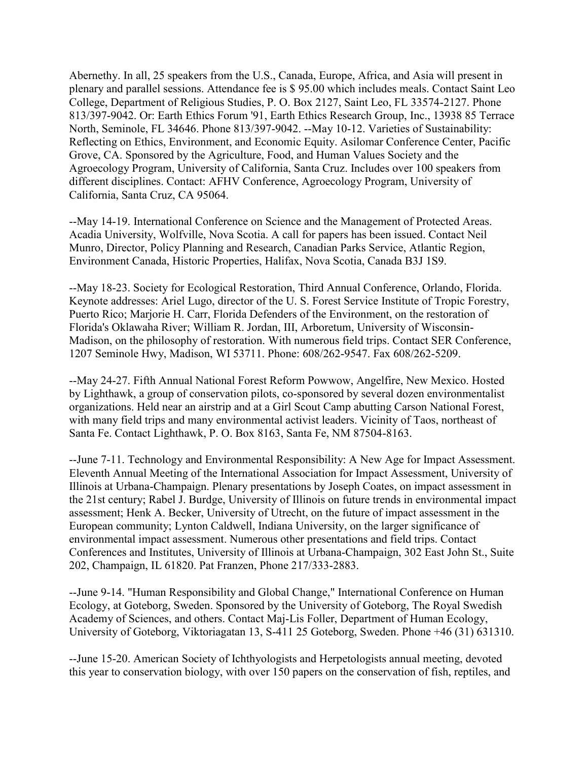Abernethy. In all, 25 speakers from the U.S., Canada, Europe, Africa, and Asia will present in plenary and parallel sessions. Attendance fee is \$ 95.00 which includes meals. Contact Saint Leo College, Department of Religious Studies, P. O. Box 2127, Saint Leo, FL 33574-2127. Phone 813/397-9042. Or: Earth Ethics Forum '91, Earth Ethics Research Group, Inc., 13938 85 Terrace North, Seminole, FL 34646. Phone 813/397-9042. --May 10-12. Varieties of Sustainability: Reflecting on Ethics, Environment, and Economic Equity. Asilomar Conference Center, Pacific Grove, CA. Sponsored by the Agriculture, Food, and Human Values Society and the Agroecology Program, University of California, Santa Cruz. Includes over 100 speakers from different disciplines. Contact: AFHV Conference, Agroecology Program, University of California, Santa Cruz, CA 95064.

--May 14-19. International Conference on Science and the Management of Protected Areas. Acadia University, Wolfville, Nova Scotia. A call for papers has been issued. Contact Neil Munro, Director, Policy Planning and Research, Canadian Parks Service, Atlantic Region, Environment Canada, Historic Properties, Halifax, Nova Scotia, Canada B3J 1S9.

--May 18-23. Society for Ecological Restoration, Third Annual Conference, Orlando, Florida. Keynote addresses: Ariel Lugo, director of the U. S. Forest Service Institute of Tropic Forestry, Puerto Rico; Marjorie H. Carr, Florida Defenders of the Environment, on the restoration of Florida's Oklawaha River; William R. Jordan, III, Arboretum, University of Wisconsin-Madison, on the philosophy of restoration. With numerous field trips. Contact SER Conference, 1207 Seminole Hwy, Madison, WI 53711. Phone: 608/262-9547. Fax 608/262-5209.

--May 24-27. Fifth Annual National Forest Reform Powwow, Angelfire, New Mexico. Hosted by Lighthawk, a group of conservation pilots, co-sponsored by several dozen environmentalist organizations. Held near an airstrip and at a Girl Scout Camp abutting Carson National Forest, with many field trips and many environmental activist leaders. Vicinity of Taos, northeast of Santa Fe. Contact Lighthawk, P. O. Box 8163, Santa Fe, NM 87504-8163.

--June 7-11. Technology and Environmental Responsibility: A New Age for Impact Assessment. Eleventh Annual Meeting of the International Association for Impact Assessment, University of Illinois at Urbana-Champaign. Plenary presentations by Joseph Coates, on impact assessment in the 21st century; Rabel J. Burdge, University of Illinois on future trends in environmental impact assessment; Henk A. Becker, University of Utrecht, on the future of impact assessment in the European community; Lynton Caldwell, Indiana University, on the larger significance of environmental impact assessment. Numerous other presentations and field trips. Contact Conferences and Institutes, University of Illinois at Urbana-Champaign, 302 East John St., Suite 202, Champaign, IL 61820. Pat Franzen, Phone 217/333-2883.

--June 9-14. "Human Responsibility and Global Change," International Conference on Human Ecology, at Goteborg, Sweden. Sponsored by the University of Goteborg, The Royal Swedish Academy of Sciences, and others. Contact Maj-Lis Foller, Department of Human Ecology, University of Goteborg, Viktoriagatan 13, S-411 25 Goteborg, Sweden. Phone +46 (31) 631310.

--June 15-20. American Society of Ichthyologists and Herpetologists annual meeting, devoted this year to conservation biology, with over 150 papers on the conservation of fish, reptiles, and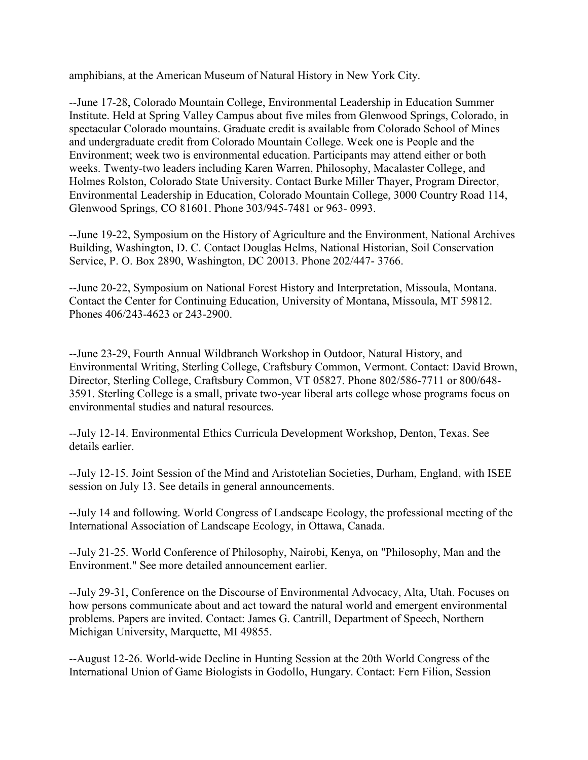amphibians, at the American Museum of Natural History in New York City.

--June 17-28, Colorado Mountain College, Environmental Leadership in Education Summer Institute. Held at Spring Valley Campus about five miles from Glenwood Springs, Colorado, in spectacular Colorado mountains. Graduate credit is available from Colorado School of Mines and undergraduate credit from Colorado Mountain College. Week one is People and the Environment; week two is environmental education. Participants may attend either or both weeks. Twenty-two leaders including Karen Warren, Philosophy, Macalaster College, and Holmes Rolston, Colorado State University. Contact Burke Miller Thayer, Program Director, Environmental Leadership in Education, Colorado Mountain College, 3000 Country Road 114, Glenwood Springs, CO 81601. Phone 303/945-7481 or 963- 0993.

--June 19-22, Symposium on the History of Agriculture and the Environment, National Archives Building, Washington, D. C. Contact Douglas Helms, National Historian, Soil Conservation Service, P. O. Box 2890, Washington, DC 20013. Phone 202/447- 3766.

--June 20-22, Symposium on National Forest History and Interpretation, Missoula, Montana. Contact the Center for Continuing Education, University of Montana, Missoula, MT 59812. Phones 406/243-4623 or 243-2900.

--June 23-29, Fourth Annual Wildbranch Workshop in Outdoor, Natural History, and Environmental Writing, Sterling College, Craftsbury Common, Vermont. Contact: David Brown, Director, Sterling College, Craftsbury Common, VT 05827. Phone 802/586-7711 or 800/648- 3591. Sterling College is a small, private two-year liberal arts college whose programs focus on environmental studies and natural resources.

--July 12-14. Environmental Ethics Curricula Development Workshop, Denton, Texas. See details earlier.

--July 12-15. Joint Session of the Mind and Aristotelian Societies, Durham, England, with ISEE session on July 13. See details in general announcements.

--July 14 and following. World Congress of Landscape Ecology, the professional meeting of the International Association of Landscape Ecology, in Ottawa, Canada.

--July 21-25. World Conference of Philosophy, Nairobi, Kenya, on "Philosophy, Man and the Environment." See more detailed announcement earlier.

--July 29-31, Conference on the Discourse of Environmental Advocacy, Alta, Utah. Focuses on how persons communicate about and act toward the natural world and emergent environmental problems. Papers are invited. Contact: James G. Cantrill, Department of Speech, Northern Michigan University, Marquette, MI 49855.

--August 12-26. World-wide Decline in Hunting Session at the 20th World Congress of the International Union of Game Biologists in Godollo, Hungary. Contact: Fern Filion, Session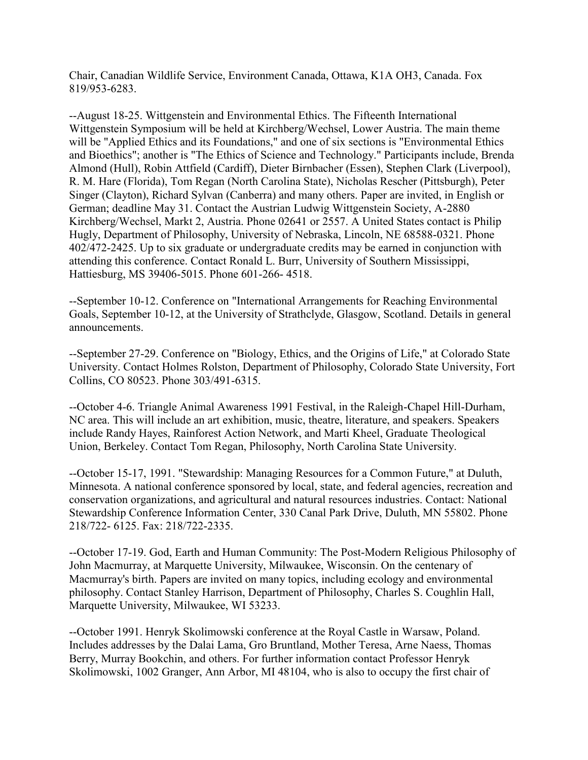Chair, Canadian Wildlife Service, Environment Canada, Ottawa, K1A OH3, Canada. Fox 819/953-6283.

--August 18-25. Wittgenstein and Environmental Ethics. The Fifteenth International Wittgenstein Symposium will be held at Kirchberg/Wechsel, Lower Austria. The main theme will be "Applied Ethics and its Foundations," and one of six sections is "Environmental Ethics and Bioethics"; another is "The Ethics of Science and Technology." Participants include, Brenda Almond (Hull), Robin Attfield (Cardiff), Dieter Birnbacher (Essen), Stephen Clark (Liverpool), R. M. Hare (Florida), Tom Regan (North Carolina State), Nicholas Rescher (Pittsburgh), Peter Singer (Clayton), Richard Sylvan (Canberra) and many others. Paper are invited, in English or German; deadline May 31. Contact the Austrian Ludwig Wittgenstein Society, A-2880 Kirchberg/Wechsel, Markt 2, Austria. Phone 02641 or 2557. A United States contact is Philip Hugly, Department of Philosophy, University of Nebraska, Lincoln, NE 68588-0321. Phone 402/472-2425. Up to six graduate or undergraduate credits may be earned in conjunction with attending this conference. Contact Ronald L. Burr, University of Southern Mississippi, Hattiesburg, MS 39406-5015. Phone 601-266- 4518.

--September 10-12. Conference on "International Arrangements for Reaching Environmental Goals, September 10-12, at the University of Strathclyde, Glasgow, Scotland. Details in general announcements.

--September 27-29. Conference on "Biology, Ethics, and the Origins of Life," at Colorado State University. Contact Holmes Rolston, Department of Philosophy, Colorado State University, Fort Collins, CO 80523. Phone 303/491-6315.

--October 4-6. Triangle Animal Awareness 1991 Festival, in the Raleigh-Chapel Hill-Durham, NC area. This will include an art exhibition, music, theatre, literature, and speakers. Speakers include Randy Hayes, Rainforest Action Network, and Marti Kheel, Graduate Theological Union, Berkeley. Contact Tom Regan, Philosophy, North Carolina State University.

--October 15-17, 1991. "Stewardship: Managing Resources for a Common Future," at Duluth, Minnesota. A national conference sponsored by local, state, and federal agencies, recreation and conservation organizations, and agricultural and natural resources industries. Contact: National Stewardship Conference Information Center, 330 Canal Park Drive, Duluth, MN 55802. Phone 218/722- 6125. Fax: 218/722-2335.

--October 17-19. God, Earth and Human Community: The Post-Modern Religious Philosophy of John Macmurray, at Marquette University, Milwaukee, Wisconsin. On the centenary of Macmurray's birth. Papers are invited on many topics, including ecology and environmental philosophy. Contact Stanley Harrison, Department of Philosophy, Charles S. Coughlin Hall, Marquette University, Milwaukee, WI 53233.

--October 1991. Henryk Skolimowski conference at the Royal Castle in Warsaw, Poland. Includes addresses by the Dalai Lama, Gro Bruntland, Mother Teresa, Arne Naess, Thomas Berry, Murray Bookchin, and others. For further information contact Professor Henryk Skolimowski, 1002 Granger, Ann Arbor, MI 48104, who is also to occupy the first chair of